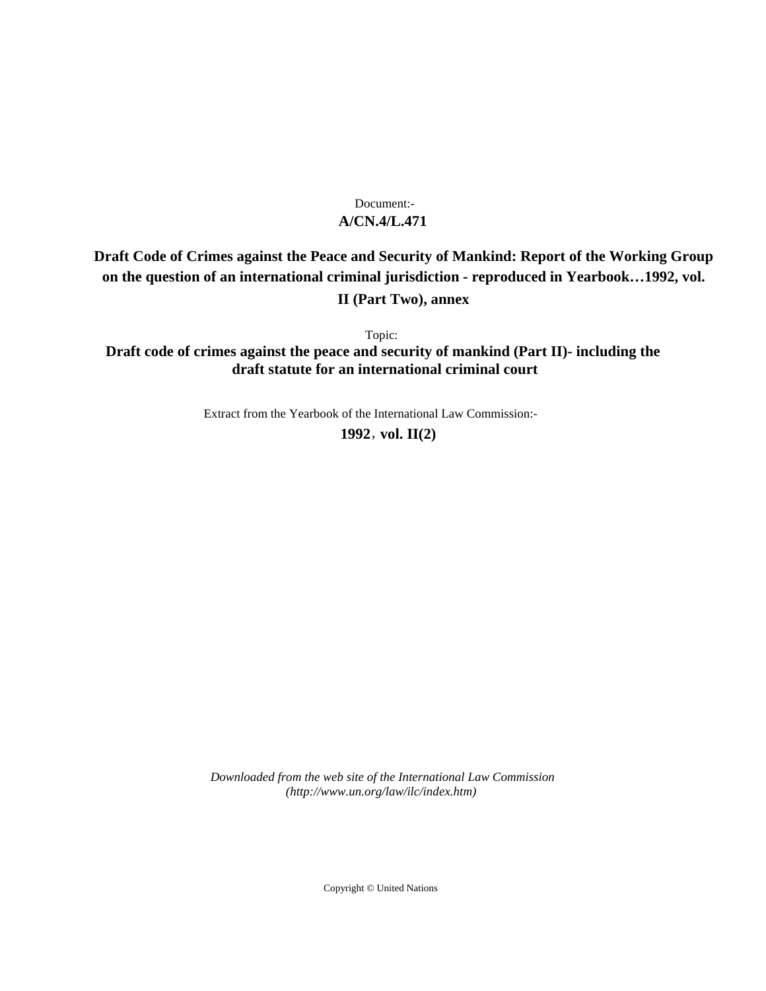# **A/CN.4/L.471** Document:-

# **Draft Code of Crimes against the Peace and Security of Mankind: Report of the Working Group on the question of an international criminal jurisdiction - reproduced in Yearbook…1992, vol. II (Part Two), annex**

Topic:

**Draft code of crimes against the peace and security of mankind (Part II)- including the draft statute for an international criminal court**

Extract from the Yearbook of the International Law Commission:-

**1992** , **vol. II(2)**

*Downloaded from the web site of the International Law Commission (http://www.un.org/law/ilc/index.htm)*

Copyright © United Nations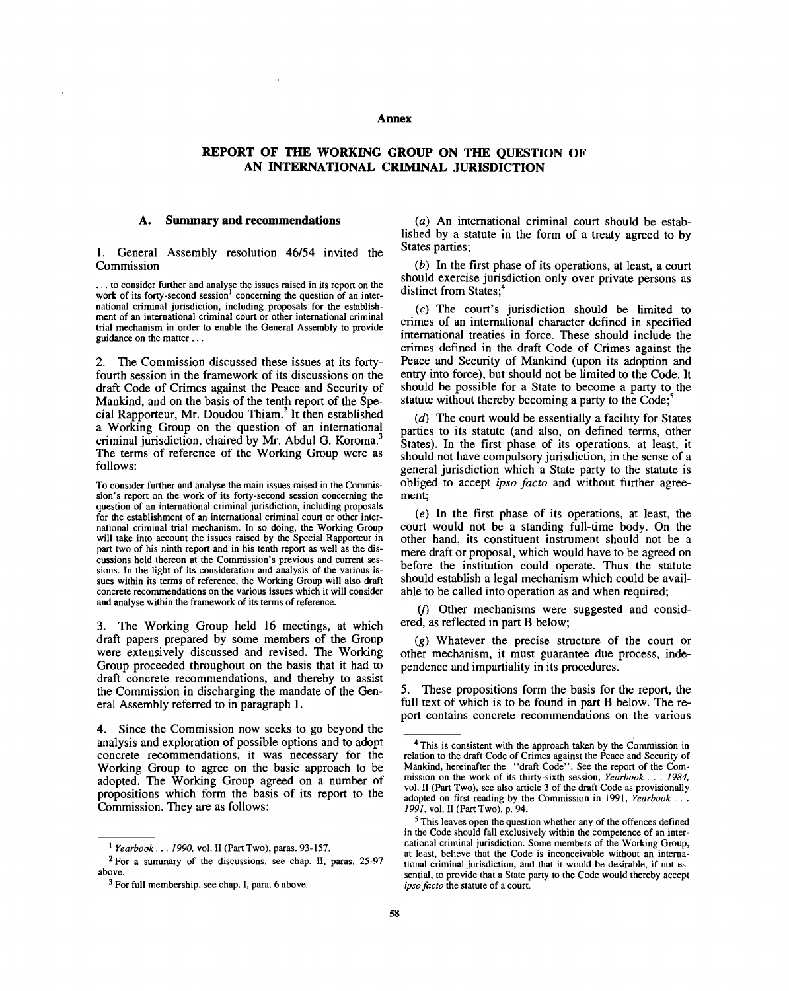#### **Annex**

## **REPORT OF THE WORKING GROUP ON THE QUESTION OF AN INTERNATIONAL CRIMINAL JURISDICTION**

#### **A. Summary and recommendations**

1. General Assembly resolution 46/54 invited the Commission

 $\dots$  to consider further and analyse the issues raised in its report on the work of its forty-second session<sup>1</sup> concerning the question of an international criminal jurisdiction, including proposals for the establishment of an international criminal court or other international criminal trial mechanism in order to enable the General Assembly to provide guidance on the matter...

2. The Commission discussed these issues at its fortyfourth session in the framework of its discussions on the draft Code of Crimes against the Peace and Security of Mankind, and on the basis of the tenth report of the Special Rapporteur, Mr. Doudou Thiam.<sup>2</sup> It then established a Working Group on the question of an international criminal jurisdiction, chaired by Mr. Abdul G. Koroma.<sup>3</sup> The terms of reference of the Working Group were as follows:

To consider further and analyse the main issues raised in the Commission's report on the work of its forty-second session concerning the question of an international criminal jurisdiction, including proposals for the establishment of an international criminal court or other international criminal trial mechanism. In so doing, the Working Group will take into account the issues raised by the Special Rapporteur in part two of his ninth report and in his tenth report as well as the discussions held thereon at the Commission's previous and current sessions. In the light of its consideration and analysis of the various issues within its terms of reference, the Working Group will also draft concrete recommendations on the various issues which it will consider and analyse within the framework of its terms of reference.

3. The Working Group held 16 meetings, at which draft papers prepared by some members of the Group were extensively discussed and revised. The Working Group proceeded throughout on the basis that it had to draft concrete recommendations, and thereby to assist the Commission in discharging the mandate of the General Assembly referred to in paragraph 1.

4. Since the Commission now seeks to go beyond the analysis and exploration of possible options and to adopt concrete recommendations, it was necessary for the Working Group to agree on the basic approach to be adopted. The Working Group agreed on a number of propositions which form the basis of its report to the Commission. They are as follows:

*(a)* An international criminal court should be established by a statute in the form of a treaty agreed to by States parties;

*(b)* In the first phase of its operations, at least, a court should exercise jurisdiction only over private persons as distinct from States:

(c) The court's jurisdiction should be limited to crimes of an international character defined in specified international treaties in force. These should include the crimes defined in the draft Code of Crimes against the Peace and Security of Mankind (upon its adoption and entry into force), but should not be limited to the Code. It should be possible for a State to become a party to the statute without thereby becoming a party to the Code;<sup>5</sup>

*(d)* The court would be essentially a facility for States parties to its statute (and also, on defined terms, other States). In the first phase of its operations, at least, it should not have compulsory jurisdiction, in the sense of a general jurisdiction which a State party to the statute is obliged to accept *ipso facto* and without further agreement;

*(e)* In the first phase of its operations, at least, the court would not be a standing full-time body. On the other hand, its constituent instrument should not be a mere draft or proposal, which would have to be agreed on before the institution could operate. Thus the statute should establish a legal mechanism which could be available to be called into operation as and when required;

*if)* Other mechanisms were suggested and considered, as reflected in part B below;

(g) Whatever the precise structure of the court or other mechanism, it must guarantee due process, independence and impartiality in its procedures.

5. These propositions form the basis for the report, the full text of which is to be found in part B below. The report contains concrete recommendations on the various

<sup>1</sup>  *Yearbook .. . 1990,* vol. II (Part Two), paras. 93-157.

 $2$  For a summary of the discussions, see chap. II, paras. 25-97 above.

<sup>&</sup>lt;sup>3</sup> For full membership, see chap. I, para. 6 above.

<sup>&</sup>lt;sup>4</sup> This is consistent with the approach taken by the Commission in relation to the draft Code of Crimes against the Peace and Security of Mankind, hereinafter the "draft Code". See the report of the Commission on the work of its thirty-sixth session, *Yearbook . .* . *1984,* vol. II (Part Two), see also article 3 of the draft Code as provisionally adopted on first reading by the Commission in 1991, *Yearbook .* . . 7997, vol. II (Part Two), p. 94.

<sup>&</sup>lt;sup>5</sup> This leaves open the question whether any of the offences defined in the Code should fall exclusively within the competence of an international criminal jurisdiction. Some members of the Working Group, at least, believe that the Code is inconceivable without an international criminal jurisdiction, and that it would be desirable, if not essential, to provide that a State party to the Code would thereby accept *ipso facto* the statute of a court.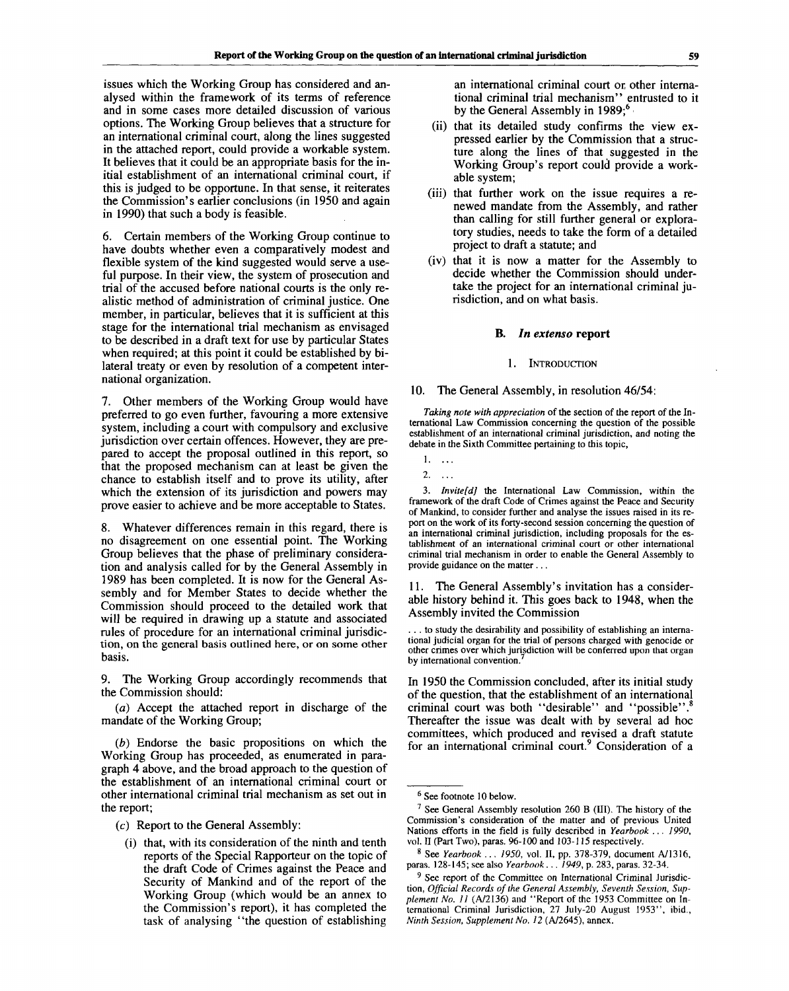issues which the Working Group has considered and analysed within the framework of its terms of reference and in some cases more detailed discussion of various options. The Working Group believes that a structure for an international criminal court, along the lines suggested in the attached report, could provide a workable system. It believes that it could be an appropriate basis for the initial establishment of an international criminal court, if this is judged to be opportune. In that sense, it reiterates the Commission's earlier conclusions (in 1950 and again in 1990) that such a body is feasible.

6. Certain members of the Working Group continue to have doubts whether even a comparatively modest and flexible system of the kind suggested would serve a useful purpose. In their view, the system of prosecution and trial of the accused before national courts is the only realistic method of administration of criminal justice. One member, in particular, believes that it is sufficient at this stage for the international trial mechanism as envisaged to be described in a draft text for use by particular States when required; at this point it could be established by bilateral treaty or even by resolution of a competent international organization.

7. Other members of the Working Group would have preferred to go even further, favouring a more extensive system, including a court with compulsory and exclusive jurisdiction over certain offences. However, they are prepared to accept the proposal outlined in this report, so that the proposed mechanism can at least be given the chance to establish itself and to prove its utility, after which the extension of its jurisdiction and powers may prove easier to achieve and be more acceptable to States.

8. Whatever differences remain in this regard, there is no disagreement on one essential point. The Working Group believes that the phase of preliminary consideration and analysis called for by the General Assembly in 1989 has been completed. It is now for the General Assembly and for Member States to decide whether the Commission should proceed to the detailed work that will be required in drawing up a statute and associated rules of procedure for an international criminal jurisdiction, on the general basis outlined here, or on some other basis.

9. The Working Group accordingly recommends that the Commission should:

*(a)* Accept the attached report in discharge of the mandate of the Working Group;

*(b)* Endorse the basic propositions on which the Working Group has proceeded, as enumerated in paragraph 4 above, and the broad approach to the question of the establishment of an international criminal court or other international criminal trial mechanism as set out in the report;

(c) Report to the General Assembly:

(i) that, with its consideration of the ninth and tenth reports of the Special Rapporteur on the topic of the draft Code of Crimes against the Peace and Security of Mankind and of the report of the Working Group (which would be an annex to the Commission's report), it has completed the task of analysing "the question of establishing

an international criminal court or other international criminal trial mechanism" entrusted to it by the General Assembly in 1989;<sup>6</sup>

- (ii) that its detailed study confirms the view expressed earlier by the Commission that a structure along the lines of that suggested in the Working Group's report could provide a workable system;
- (iii) that further work on the issue requires a renewed mandate from the Assembly, and rather than calling for still further general or exploratory studies, needs to take the form of a detailed project to draft a statute; and
- (iv) that it is now a matter for the Assembly to decide whether the Commission should undertake the project for an international criminal jurisdiction, and on what basis.

#### **B.** *In extenso* **report**

#### **INTRODUCTION**

#### 10. The General Assembly, in resolution 46/54:

*Taking note with appreciation* of the section of the report of the International Law Commission concerning the question of the possible establishment of an international criminal jurisdiction, and noting the debate in the Sixth Committee pertaining to this topic,

 $2.$ 

3. *Invite[d]* the International Law Commission, within the framework of the draft Code of Crimes against the Peace and Security of Mankind, to consider further and analyse the issues raised in its report on the work of its forty-second session concerning the question of an international criminal jurisdiction, including proposals for the establishment of an international criminal court or other international criminal trial mechanism in order to enable the General Assembly to provide guidance on the matter .. .

11. The General Assembly's invitation has a considerable history behind it. This goes back to 1948, when the Assembly invited the Commission

. . . to study the desirability and possibility of establishing an international judicial organ for the trial of persons charged with genocide or other crimes over which jurisdiction will be conferred upon that organ by international convention.

In 1950 the Commission concluded, after its initial study of the question, that the establishment of an international criminal court was both "desirable" and "possible". Thereafter the issue was dealt with by several ad hoc committees, which produced and revised a draft statute for an international criminal court.<sup>9</sup> Consideration of a

<sup>1. ..</sup> .

<sup>6</sup> See footnote 10 below.

<sup>&</sup>lt;sup>7</sup> See General Assembly resolution 260 B (III). The history of the Commission's consideration of the matter and of previous United Nations efforts in the field is fully described in *Yearbook ... 1990,* vol. II (Part Two), paras. 96-100 and 103-115 respectively.

<sup>8</sup> See *Yearbook ... 1950,* vol. II, pp. 378-379, document A/1316, paras. 128-145; see also *Yearbook ... 1949,* p. 283, paras. 32-34.

<sup>&</sup>lt;sup>9</sup> See report of the Committee on International Criminal Jurisdiction, *Official Records of the General Assembly, Seventh Session, Supplement No. 11* (A/2136) and "Report of the 1953 Committee on International Criminal Jurisdiction, 27 July-20 August 1953", ibid., *Ninth Session, Supplement No. 12* (A/2645), annex.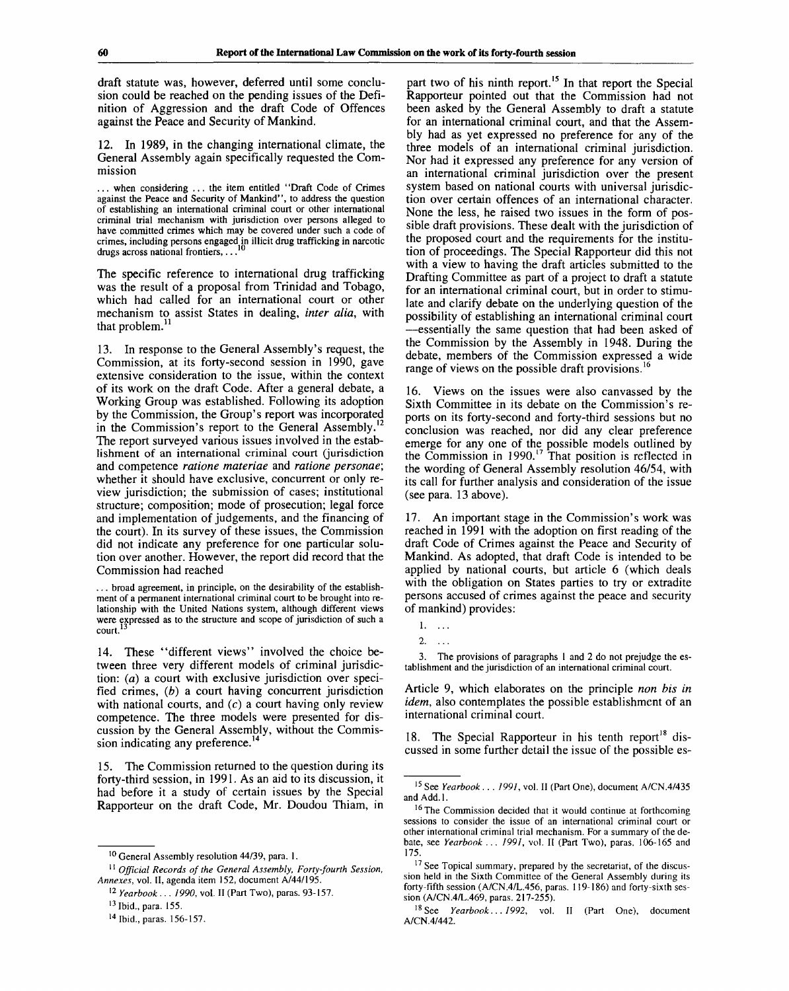draft statute was, however, deferred until some conclusion could be reached on the pending issues of the Definition of Aggression and the draft Code of Offences against the Peace and Security of Mankind.

12. In 1989, in the changing international climate, the General Assembly again specifically requested the Commission

. . . when considering .. . the item entitled ' 'Draft Code of Crimes against the Peace and Security of Mankind", to address the question of establishing an international criminal court or other international criminal trial mechanism with jurisdiction over persons alleged to have committed crimes which may be covered under such a code of crimes, including persons engaged in illicit drug trafficking in narcotic<br>drugs across national frontiers drugs across national frontiers, ...

The specific reference to international drug trafficking was the result of a proposal from Trinidad and Tobago, which had called for an international court or other mechanism to assist States in dealing, *inter alia,* with that problem.<sup>1</sup>

13. In response to the General Assembly's request, the Commission, at its forty-second session in 1990, gave extensive consideration to the issue, within the context of its work on the draft Code. After a general debate, a Working Group was established. Following its adoption by the Commission, the Group's report was incorporated in the Commission's report to the General Assembly.<sup>12</sup> The report surveyed various issues involved in the establishment of an international criminal court (jurisdiction and competence *ratione materiae* and *ratione personae;* whether it should have exclusive, concurrent or only review jurisdiction; the submission of cases; institutional structure; composition; mode of prosecution; legal force and implementation of judgements, and the financing of the court). In its survey of these issues, the Commission did not indicate any preference for one particular solution over another. However, the report did record that the Commission had reached

... broad agreement, in principle, on the desirability of the establishment of a permanent international criminal court to be brought into relationship with the United Nations system, although different views were expressed as to the structure and scope of jurisdiction of such a court.<sup>13</sup>

14. These "different views" involved the choice between three very different models of criminal jurisdiction: *(a)* a court with exclusive jurisdiction over specified crimes, *(b)* a court having concurrent jurisdiction with national courts, and  $(c)$  a court having only review competence. The three models were presented for discussion by the General Assembly, without the Commission indicating any preference.<sup>14</sup>

15. The Commission returned to the question during its forty-third session, in 1991. As an aid to its discussion, it had before it a study of certain issues by the Special Rapporteur on the draft Code, Mr. Doudou Thiam, in

part two of his ninth report.<sup>15</sup> In that report the Special Rapporteur pointed out that the Commission had not been asked by the General Assembly to draft a statute for an international criminal court, and that the Assembly had as yet expressed no preference for any of the three models of an international criminal jurisdiction. Nor had it expressed any preference for any version of an international criminal jurisdiction over the present system based on national courts with universal jurisdiction over certain offences of an international character. None the less, he raised two issues in the form of possible draft provisions. These dealt with the jurisdiction of the proposed court and the requirements for the institution of proceedings. The Special Rapporteur did this not with a view to having the draft articles submitted to the Drafting Committee as part of a project to draft a statute for an international criminal court, but in order to stimulate and clarify debate on the underlying question of the possibility of establishing an international criminal court —essentially the same question that had been asked of the Commission by the Assembly in 1948. During the debate, members of the Commission expressed a wide range of views on the possible draft provisions.<sup>16</sup>

16. Views on the issues were also canvassed by the Sixth Committee in its debate on the Commission's reports on its forty-second and forty-third sessions but no conclusion was reached, nor did any clear preference emerge for any one of the possible models outlined by the Commission in  $1990$ .<sup>17</sup> That position is reflected in the wording of General Assembly resolution 46/54, with its call for further analysis and consideration of the issue (see para. 13 above).

17. An important stage in the Commission's work was reached in 1991 with the adoption on first reading of the draft Code of Crimes against the Peace and Security of Mankind. As adopted, that draft Code is intended to be applied by national courts, but article 6 (which deals with the obligation on States parties to try or extradite persons accused of crimes against the peace and security of mankind) provides:

3. The provisions of paragraphs 1 and 2 do not prejudge the establishment and the jurisdiction of an international criminal court.

Article 9, which elaborates on the principle *non bis in idem,* also contemplates the possible establishment of an international criminal court.

18. The Special Rapporteur in his tenth report<sup>18</sup> discussed in some further detail the issue of the possible es-

<sup>&</sup>lt;sup>10</sup> General Assembly resolution 44/39, para. 1.

<sup>11</sup>  *Official Records of the General Assembly, Forty-fourth Session, Annexes,* vol. II, agenda item 152, document A/44/195.

<sup>12</sup>  *Yearbook... 1990,* vol. II (Part Two), paras. 93-157.

<sup>&</sup>lt;sup>13</sup> Ibid., para. 155.

<sup>&</sup>lt;sup>14</sup> Ibid., paras. 156-157.

<sup>1. ..</sup> .

 $2. \ldots$ 

<sup>15</sup> See *Yearbook* . . . *1991,* vol. II (Part One), document A/CN.4/435 and Add.l.

<sup>&</sup>lt;sup>16</sup> The Commission decided that it would continue at forthcoming sessions to consider the issue of an international criminal court or other international criminal trial mechanism. For a summary of the debate, see *Yearbook ... 1991,* vol. II (Part Two), paras. 106-165 and 175.

<sup>&</sup>lt;sup>17</sup> See Topical summary, prepared by the secretariat, of the discussion held in the Sixth Committee of the General Assembly during its forty-fifth session (A/CN.4/L.456, paras. 119-186) and forty-sixth session (A/CN.4/L.469, paras. 217-255).

<sup>18</sup> See *Yearbook... 1992,* vol. II (Part One), document A/CN.4/442.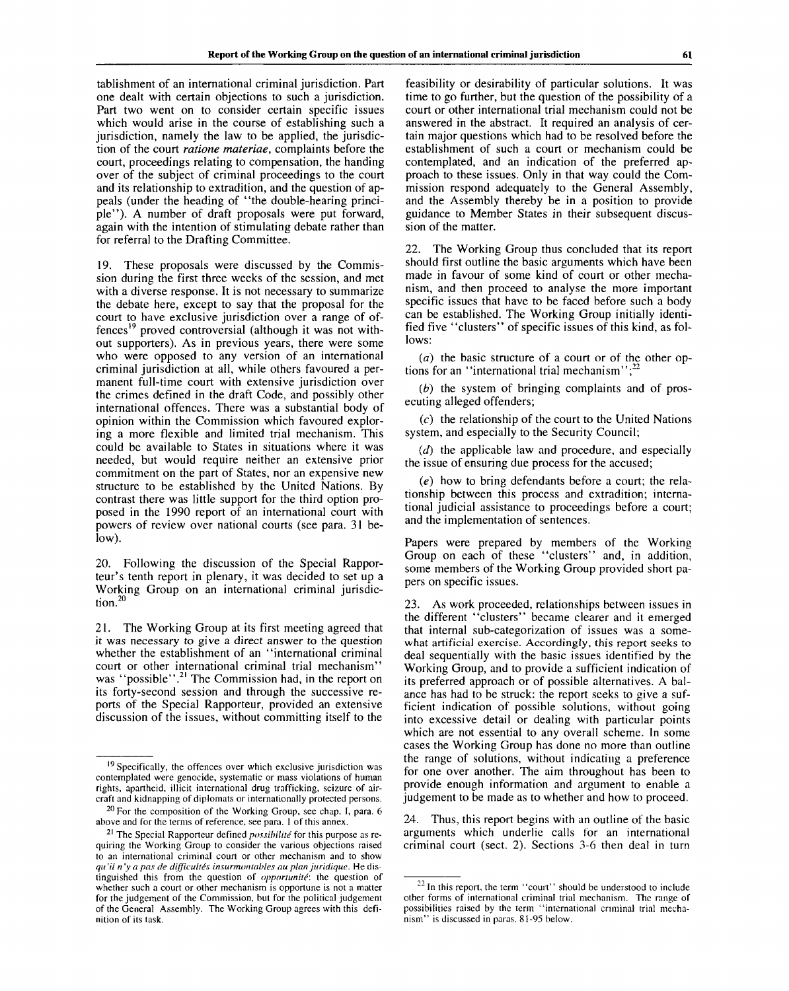tablishment of an international criminal jurisdiction. Part one dealt with certain objections to such a jurisdiction. Part two went on to consider certain specific issues which would arise in the course of establishing such a jurisdiction, namely the law to be applied, the jurisdiction of the court *ratione materiae,* complaints before the court, proceedings relating to compensation, the handing over of the subject of criminal proceedings to the court and its relationship to extradition, and the question of appeals (under the heading of "the double-hearing principle"). A number of draft proposals were put forward, again with the intention of stimulating debate rather than for referral to the Drafting Committee.

19. These proposals were discussed by the Commission during the first three weeks of the session, and met with a diverse response. It is not necessary to summarize the debate here, except to say that the proposal for the court to have exclusive jurisdiction over a range of offences<sup>19</sup> proved controversial (although it was not without supporters). As in previous years, there were some who were opposed to any version of an international criminal jurisdiction at all, while others favoured a permanent full-time court with extensive jurisdiction over the crimes defined in the draft Code, and possibly other international offences. There was a substantial body of opinion within the Commission which favoured exploring a more flexible and limited trial mechanism. This could be available to States in situations where it was needed, but would require neither an extensive prior commitment on the part of States, nor an expensive new structure to be established by the United Nations. By contrast there was little support for the third option proposed in the 1990 report of an international court with powers of review over national courts (see para. 31 below).

20. Following the discussion of the Special Rapporteur's tenth report in plenary, it was decided to set up a Working Group on an international criminal jurisdic- $\mu$ <sub>10</sub>

21. The Working Group at its first meeting agreed that it was necessary to give a direct answer to the question whether the establishment of an "international criminal court or other international criminal trial mechanism" was "possible"<sup>21</sup> The Commission had, in the report on its forty-second session and through the successive reports of the Special Rapporteur, provided an extensive discussion of the issues, without committing itself to the

feasibility or desirability of particular solutions. It was time to go further, but the question of the possibility of a court or other international trial mechanism could not be answered in the abstract. It required an analysis of certain major questions which had to be resolved before the establishment of such a court or mechanism could be contemplated, and an indication of the preferred approach to these issues. Only in that way could the Commission respond adequately to the General Assembly, and the Assembly thereby be in a position to provide guidance to Member States in their subsequent discussion of the matter.

22. The Working Group thus concluded that its report should first outline the basic arguments which have been made in favour of some kind of court or other mechanism, and then proceed to analyse the more important specific issues that have to be faced before such a body can be established. The Working Group initially identified five "clusters" of specific issues of this kind, as follows:

*(a)* the basic structure of a court or of the other options for an "international trial mechanism";

*(b)* the system of bringing complaints and of prosecuting alleged offenders;

 $(c)$  the relationship of the court to the United Nations system, and especially to the Security Council;

*(d)* the applicable law and procedure, and especially the issue of ensuring due process for the accused;

*(e)* how to bring defendants before a court; the relationship between this process and extradition; international judicial assistance to proceedings before a court; and the implementation of sentences.

Papers were prepared by members of the Working Group on each of these "clusters" and, in addition, some members of the Working Group provided short papers on specific issues.

23. As work proceeded, relationships between issues in the different "clusters" became clearer and it emerged that internal sub-categorization of issues was a somewhat artificial exercise. Accordingly, this report seeks to deal sequentially with the basic issues identified by the Working Group, and to provide a sufficient indication of its preferred approach or of possible alternatives. A balance has had to be struck: the report seeks to give a sufficient indication of possible solutions, without going into excessive detail or dealing with particular points which are not essential to any overall scheme. In some cases the Working Group has done no more than outline the range of solutions, without indicating a preference for one over another. The aim throughout has been to provide enough information and argument to enable a judgement to be made as to whether and how to proceed.

Thus, this report begins with an outline of the basic arguments which underlie calls for an international criminal court (sect. 2). Sections 3-6 then deal in turn

<sup>&</sup>lt;sup>19</sup> Specifically, the offences over which exclusive jurisdiction was contemplated were genocide, systematic or mass violations of human rights, apartheid, illicit international drug trafficking, seizure of aircraft and kidnapping of diplomats or internationally protected persons.

 $20$  For the composition of the Working Group, see chap. I, para. 6 above and for the terms of reference, see para. 1 of this annex.

<sup>21</sup> The Special Rapporteur defined *possibilite* for this purpose as requiring the Working Group to consider the various objections raised to an international criminal court or other mechanism and to show *qu 'il n 'y a pas de difficultes insurmontables au plan juridique.* He distinguished this from the question of *opportunite:* the question of whether such a court or other mechanism is opportune is not a matter for the judgement of the Commission, but for the political judgement of the General Assembly. The Working Group agrees with this definition of its task.

 $^{22}$  In this report, the term "court" should be understood to include other forms of international criminal trial mechanism. The range of possibilities raised by the term "international criminal trial mechanism" is discussed in paras. 81-95 below.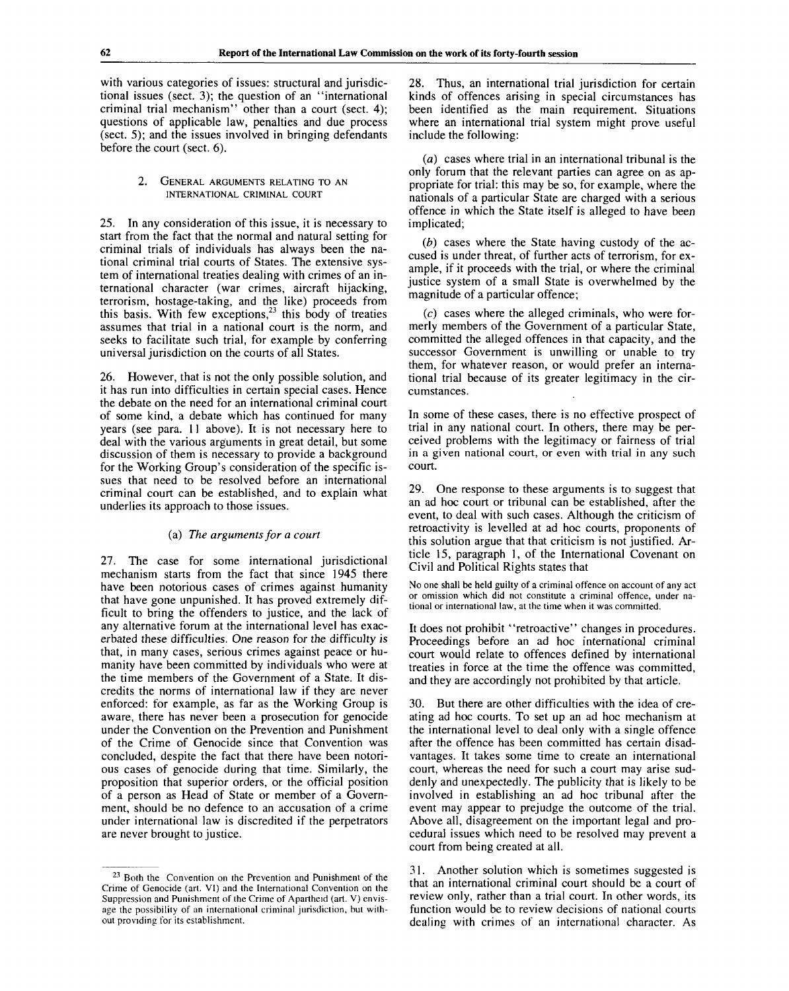with various categories of issues: structural and jurisdictional issues (sect. 3); the question of an "international criminal trial mechanism" other than a court (sect. 4); questions of applicable law, penalties and due process (sect. 5); and the issues involved in bringing defendants before the court (sect. 6).

#### 2. GENERAL ARGUMENTS RELATING TO AN INTERNATIONAL CRIMINAL COURT

25. In any consideration of this issue, it is necessary to start from the fact that the normal and natural setting for criminal trials of individuals has always been the national criminal trial courts of States. The extensive system of international treaties dealing with crimes of an international character (war crimes, aircraft hijacking, terrorism, hostage-taking, and the like) proceeds from this basis. With few exceptions,<sup>23</sup> this body of treaties assumes that trial in a national court is the norm, and seeks to facilitate such trial, for example by conferring universal jurisdiction on the courts of all States.

26. However, that is not the only possible solution, and it has run into difficulties in certain special cases. Hence the debate on the need for an international criminal court of some kind, a debate which has continued for many years (see para. 11 above). It is not necessary here to deal with the various arguments in great detail, but some discussion of them is necessary to provide a background for the Working Group's consideration of the specific issues that need to be resolved before an international criminal court can be established, and to explain what underlies its approach to those issues.

#### (a) *The arguments for a court*

27. The case for some international jurisdictional mechanism starts from the fact that since 1945 there have been notorious cases of crimes against humanity that have gone unpunished. It has proved extremely difficult to bring the offenders to justice, and the lack of any alternative forum at the international level has exacerbated these difficulties. One reason for the difficulty is that, in many cases, serious crimes against peace or humanity have been committed by individuals who were at the time members of the Government of a State. It discredits the norms of international law if they are never enforced: for example, as far as the Working Group is aware, there has never been a prosecution for genocide under the Convention on the Prevention and Punishment of the Crime of Genocide since that Convention was concluded, despite the fact that there have been notorious cases of genocide during that time. Similarly, the proposition that superior orders, or the official position of a person as Head of State or member of a Government, should be no defence to an accusation of a crime under international law is discredited if the perpetrators are never brought to justice.

28. Thus, an international trial jurisdiction for certain kinds of offences arising in special circumstances has been identified as the main requirement. Situations where an international trial system might prove useful include the following:

*(a)* cases where trial in an international tribunal is the only forum that the relevant parties can agree on as appropriate for trial: this may be so, for example, where the nationals of a particular State are charged with a serious offence in which the State itself is alleged to have been implicated;

*(b)* cases where the State having custody of the accused is under threat, of further acts of terrorism, for example, if it proceeds with the trial, or where the criminal justice system of a small State is overwhelmed by the magnitude of a particular offence;

 $(c)$  cases where the alleged criminals, who were formerly members of the Government of a particular State, committed the alleged offences in that capacity, and the successor Government is unwilling or unable to try them, for whatever reason, or would prefer an international trial because of its greater legitimacy in the circumstances.

In some of these cases, there is no effective prospect of trial in any national court. In others, there may be perceived problems with the legitimacy or fairness of trial in a given national court, or even with trial in any such court.

29. One response to these arguments is to suggest that an ad hoc court or tribunal can be established, after the event, to deal with such cases. Although the criticism of retroactivity is levelled at ad hoc courts, proponents of this solution argue that that criticism is not justified. Article 15, paragraph 1, of the International Covenant on Civil and Political Rights states that

No one shall be held guilty of a criminal offence on account of any act or omission which did not constitute a criminal offence, under national or international law, at the time when it was committed.

It does not prohibit "retroactive" changes in procedures. Proceedings before an ad hoc international criminal court would relate to offences defined by international treaties in force at the time the offence was committed, and they are accordingly not prohibited by that article.

30. But there are other difficulties with the idea of creating ad hoc courts. To set up an ad hoc mechanism at the international level to deal only with a single offence after the offence has been committed has certain disadvantages. It takes some time to create an international court, whereas the need for such a court may arise suddenly and unexpectedly. The publicity that is likely to be involved in establishing an ad hoc tribunal after the event may appear to prejudge the outcome of the trial. Above all, disagreement on the important legal and procedural issues which need to be resolved may prevent a court from being created at all.

31. Another solution which is sometimes suggested is that an international criminal court should be a court of review only, rather than a trial court. In other words, its function would be to review decisions of national courts dealing with crimes of an international character. As

<sup>&</sup>lt;sup>23</sup> Both the Convention on the Prevention and Punishment of the Crime of Genocide (art. VI) and the International Convention on the Suppression and Punishment of the Crime of Apartheid (art. V) envisage the possibility of an international criminal jurisdiction, but without providing for its establishment.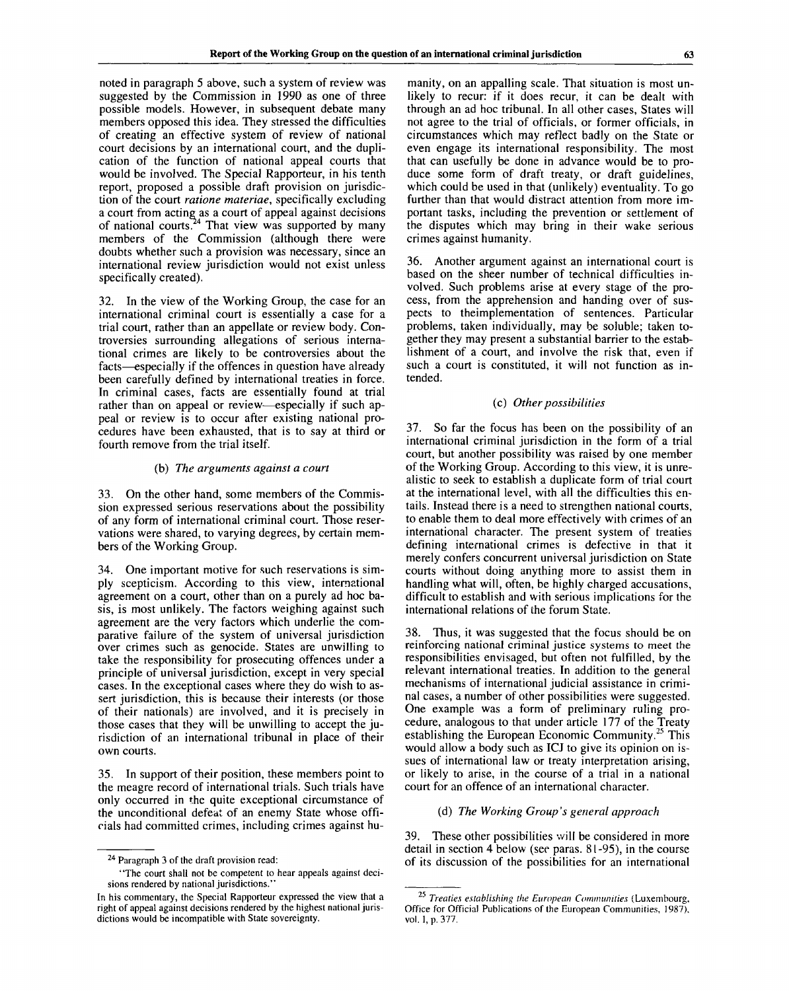noted in paragraph 5 above, such a system of review was suggested by the Commission in 1990 as one of three possible models. However, in subsequent debate many members opposed this idea. They stressed the difficulties of creating an effective system of review of national court decisions by an international court, and the duplication of the function of national appeal courts that would be involved. The Special Rapporteur, in his tenth report, proposed a possible draft provision on jurisdiction of the court *ratione materiae,* specifically excluding a court from acting as a court of appeal against decisions of national courts.<sup>24</sup> That view was supported by many members of the Commission (although there were doubts whether such a provision was necessary, since an international review jurisdiction would not exist unless specifically created).

32. In the view of the Working Group, the case for an international criminal court is essentially a case for a trial court, rather than an appellate or review body. Controversies surrounding allegations of serious international crimes are likely to be controversies about the facts—especially if the offences in question have already been carefully defined by international treaties in force. In criminal cases, facts are essentially found at trial rather than on appeal or review—especially if such appeal or review is to occur after existing national procedures have been exhausted, that is to say at third or fourth remove from the trial itself.

#### (b) *The arguments against a court*

33. On the other hand, some members of the Commission expressed serious reservations about the possibility of any form of international criminal court. Those reservations were shared, to varying degrees, by certain members of the Working Group.

34. One important motive for such reservations is simply scepticism. According to this view, international agreement on a court, other than on a purely ad hoc basis, is most unlikely. The factors weighing against such agreement are the very factors which underlie the comparative failure of the system of universal jurisdiction over crimes such as genocide. States are unwilling to take the responsibility for prosecuting offences under a principle of universal jurisdiction, except in very special cases. In the exceptional cases where they do wish to assert jurisdiction, this is because their interests (or those of their nationals) are involved, and it is precisely in those cases that they will be unwilling to accept the jurisdiction of an international tribunal in place of their own courts.

35. In support of their position, these members point to the meagre record of international trials. Such trials have only occurred in the quite exceptional circumstance of the unconditional defeat of an enemy State whose officials had committed crimes, including crimes against hu-

manity, on an appalling scale. That situation is most unlikely to recur: if it does recur, it can be dealt with through an ad hoc tribunal. In all other cases, States will not agree to the trial of officials, or former officials, in circumstances which may reflect badly on the State or even engage its international responsibility. The most that can usefully be done in advance would be to produce some form of draft treaty, or draft guidelines, which could be used in that (unlikely) eventuality. To go further than that would distract attention from more important tasks, including the prevention or settlement of the disputes which may bring in their wake serious crimes against humanity.

36. Another argument against an international court is based on the sheer number of technical difficulties involved. Such problems arise at every stage of the process, from the apprehension and handing over of suspects to theimplementation of sentences. Particular problems, taken individually, may be soluble; taken together they may present a substantial barrier to the establishment of a court, and involve the risk that, even if such a court is constituted, it will not function as intended.

#### (c) *Other possibilities*

37. So far the focus has been on the possibility of an international criminal jurisdiction in the form of a trial court, but another possibility was raised by one member of the Working Group. According to this view, it is unrealistic to seek to establish a duplicate form of trial court at the international level, with all the difficulties this entails. Instead there is a need to strengthen national courts, to enable them to deal more effectively with crimes of an international character. The present system of treaties defining international crimes is defective in that it merely confers concurrent universal jurisdiction on State courts without doing anything more to assist them in handling what will, often, be highly charged accusations, difficult to establish and with serious implications for the international relations of the forum State.

38. Thus, it was suggested that the focus should be on reinforcing national criminal justice systems to meet the responsibilities envisaged, but often not fulfilled, by the relevant international treaties. In addition to the general mechanisms of international judicial assistance in criminal cases, a number of other possibilities were suggested. One example was a form of preliminary ruling procedure, analogous to that under article 177 of the Treaty establishing the European Economic Community.<sup>25</sup> This would allow a body such as ICJ to give its opinion on issues of international law or treaty interpretation arising, or likely to arise, in the course of a trial in a national court for an offence of an international character.

#### (d) *The Working Group's general approach*

39. These other possibilities will be considered in more detail in section 4 below (see paras. 81-95), in the course of its discussion of the possibilities for an international

<sup>&</sup>lt;sup>24</sup> Paragraph 3 of the draft provision read:

<sup>&</sup>quot;The court shall not be competent to hear appeals against decisions rendered by national jurisdictions.'

In his commentary, the Special Rapporteur expressed the view that a right of appeal against decisions rendered by the highest national jurisdictions would be incompatible with State sovereignty.

**<sup>25</sup>** *Treaties establishing the European Communities* (Luxembourg, Office for Official Publications of the European Communities, 1987), vol. 1, p. 377.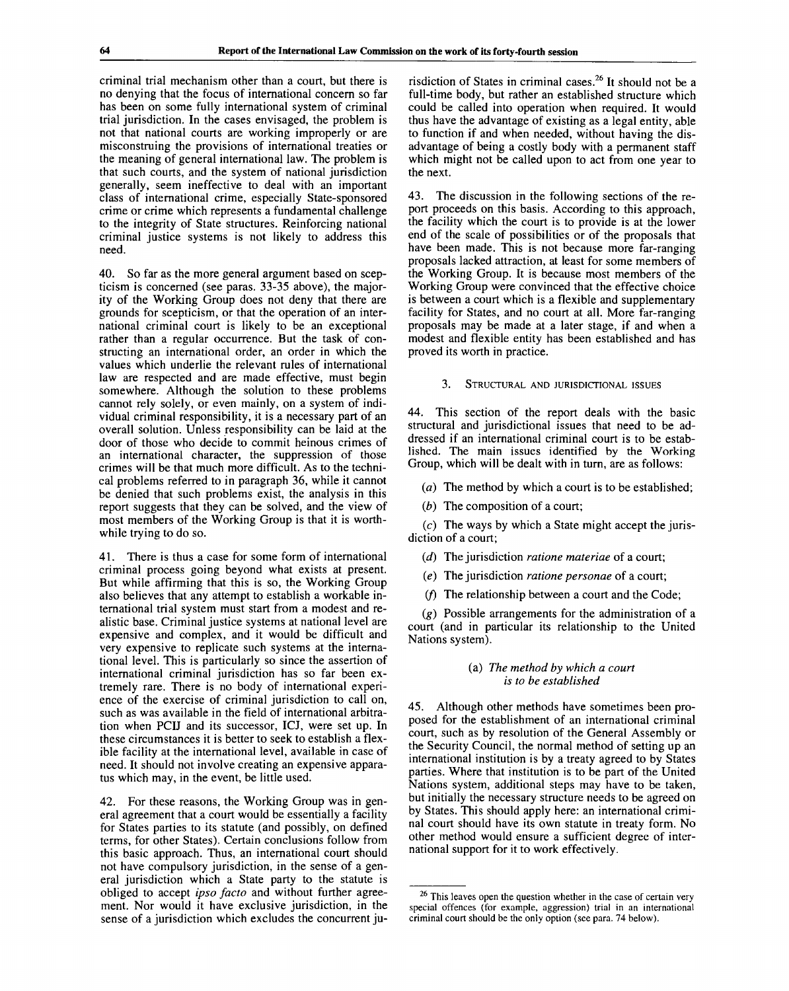criminal trial mechanism other than a court, but there is no denying that the focus of international concern so far has been on some fully international system of criminal trial jurisdiction. In the cases envisaged, the problem is not that national courts are working improperly or are misconstruing the provisions of international treaties or the meaning of general international law. The problem is that such courts, and the system of national jurisdiction generally, seem ineffective to deal with an important class of international crime, especially State-sponsored crime or crime which represents a fundamental challenge to the integrity of State structures. Reinforcing national criminal justice systems is not likely to address this need.

40. So far as the more general argument based on scepticism is concerned (see paras. 33-35 above), the majority of the Working Group does not deny that there are grounds for scepticism, or that the operation of an international criminal court is likely to be an exceptional rather than a regular occurrence. But the task of constructing an international order, an order in which the values which underlie the relevant rules of international law are respected and are made effective, must begin somewhere. Although the solution to these problems cannot rely solely, or even mainly, on a system of individual criminal responsibility, it is a necessary part of an overall solution. Unless responsibility can be laid at the door of those who decide to commit heinous crimes of an international character, the suppression of those crimes will be that much more difficult. As to the technical problems referred to in paragraph 36, while it cannot be denied that such problems exist, the analysis in this report suggests that they can be solved, and the view of most members of the Working Group is that it is worthwhile trying to do so.

41. There is thus a case for some form of international criminal process going beyond what exists at present. But while affirming that this is so, the Working Group also believes that any attempt to establish a workable international trial system must start from a modest and realistic base. Criminal justice systems at national level are expensive and complex, and it would be difficult and very expensive to replicate such systems at the international level. This is particularly so since the assertion of international criminal jurisdiction has so far been extremely rare. There is no body of international experience of the exercise of criminal jurisdiction to call on, such as was available in the field of international arbitration when PCIJ and its successor, ICJ, were set up. In these circumstances it is better to seek to establish a flexible facility at the international level, available in case of need. It should not involve creating an expensive apparatus which may, in the event, be little used.

42. For these reasons, the Working Group was in general agreement that a court would be essentially a facility for States parties to its statute (and possibly, on defined terms, for other States). Certain conclusions follow from this basic approach. Thus, an international court should not have compulsory jurisdiction, in the sense of a general jurisdiction which a State party to the statute is obliged to accept *ipso facto* and without further agreement. Nor would it have exclusive jurisdiction, in the sense of a jurisdiction which excludes the concurrent ju-

risdiction of States in criminal cases.<sup>26</sup> It should not be a full-time body, but rather an established structure which could be called into operation when required. It would thus have the advantage of existing as a legal entity, able to function if and when needed, without having the disadvantage of being a costly body with a permanent staff which might not be called upon to act from one year to the next.

43. The discussion in the following sections of the report proceeds on this basis. According to this approach, the facility which the court is to provide is at the lower end of the scale of possibilities or of the proposals that have been made. This is not because more far-ranging proposals lacked attraction, at least for some members of the Working Group. It is because most members of the Working Group were convinced that the effective choice is between a court which is a flexible and supplementary facility for States, and no court at all. More far-ranging proposals may be made at a later stage, if and when a modest and flexible entity has been established and has proved its worth in practice.

## 3. STRUCTURAL AND JURISDICTIONAL ISSUES

44. This section of the report deals with the basic structural and jurisdictional issues that need to be addressed if an international criminal court is to be established. The main issues identified by the Working Group, which will be dealt with in turn, are as follows:

*(a)* The method by which a court is to be established;

*(b)* The composition of a court;

(c) The ways by which a State might accept the jurisdiction of a court;

*{d)* The jurisdiction *ratione materiae* of a court;

*(e)* The jurisdiction *ratione personae* of a court;

*if)* The relationship between a court and the Code;

*(g)* Possible arrangements for the administration of a court (and in particular its relationship to the United Nations system).

## (a) *The method by which a court is to be established*

45. Although other methods have sometimes been proposed for the establishment of an international criminal court, such as by resolution of the General Assembly or the Security Council, the normal method of setting up an international institution is by a treaty agreed to by States parties. Where that institution is to be part of the United Nations system, additional steps may have to be taken, but initially the necessary structure needs to be agreed on by States. This should apply here: an international criminal court should have its own statute in treaty form. No other method would ensure a sufficient degree of international support for it to work effectively.

 $26$  This leaves open the question whether in the case of certain very special offences (for example, aggression) trial in an international criminal court should be the only option (see para. 74 below).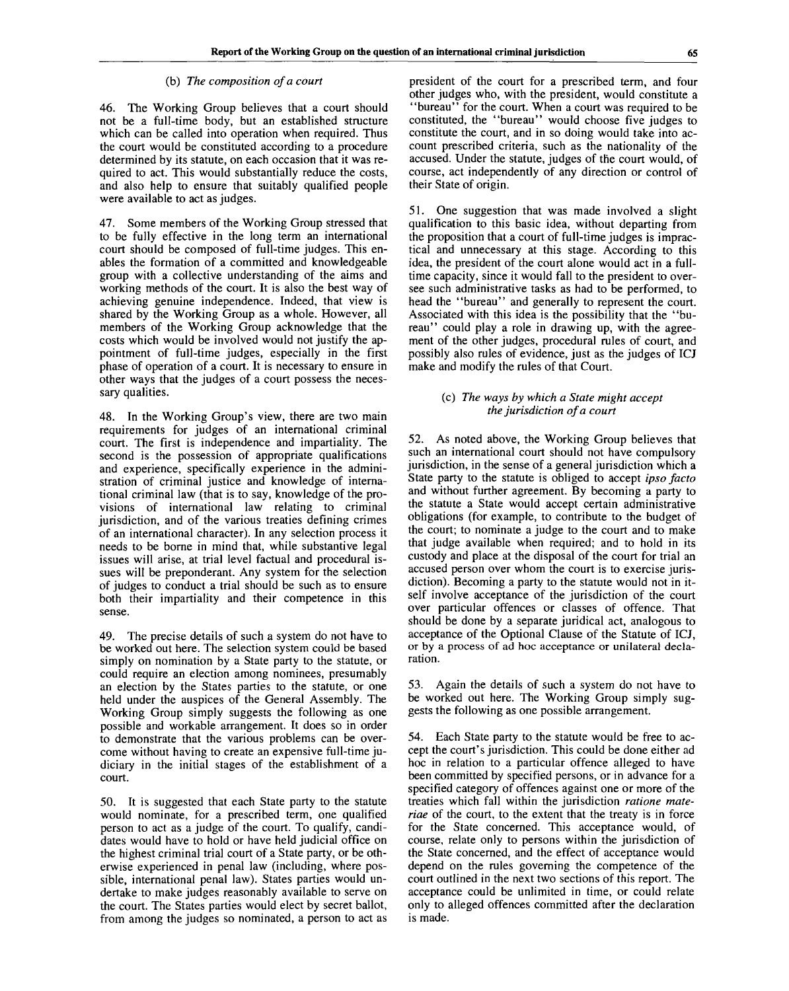## (b) *The composition of a court*

46. The Working Group believes that a court should not be a full-time body, but an established structure which can be called into operation when required. Thus the court would be constituted according to a procedure determined by its statute, on each occasion that it was required to act. This would substantially reduce the costs, and also help to ensure that suitably qualified people were available to act as judges.

47. Some members of the Working Group stressed that to be fully effective in the long term an international court should be composed of full-time judges. This enables the formation of a committed and knowledgeable group with a collective understanding of the aims and working methods of the court. It is also the best way of achieving genuine independence. Indeed, that view is shared by the Working Group as a whole. However, all members of the Working Group acknowledge that the costs which would be involved would not justify the appointment of full-time judges, especially in the first phase of operation of a court. It is necessary to ensure in other ways that the judges of a court possess the necessary qualities.

48. In the Working Group's view, there are two main requirements for judges of an international criminal court. The first is independence and impartiality. The second is the possession of appropriate qualifications and experience, specifically experience in the administration of criminal justice and knowledge of international criminal law (that is to say, knowledge of the provisions of international law relating to criminal jurisdiction, and of the various treaties defining crimes of an international character). In any selection process it needs to be borne in mind that, while substantive legal issues will arise, at trial level factual and procedural issues will be preponderant. Any system for the selection of judges to conduct a trial should be such as to ensure both their impartiality and their competence in this sense.

49. The precise details of such a system do not have to be worked out here. The selection system could be based simply on nomination by a State party to the statute, or could require an election among nominees, presumably an election by the States parties to the statute, or one held under the auspices of the General Assembly. The Working Group simply suggests the following as one possible and workable arrangement. It does so in order to demonstrate that the various problems can be overcome without having to create an expensive full-time judiciary in the initial stages of the establishment of a court.

50. It is suggested that each State party to the statute would nominate, for a prescribed term, one qualified person to act as a judge of the court. To qualify, candidates would have to hold or have held judicial office on the highest criminal trial court of a State party, or be otherwise experienced in penal law (including, where possible, international penal law). States parties would undertake to make judges reasonably available to serve on the court. The States parties would elect by secret ballot, from among the judges so nominated, a person to act as

president of the court for a prescribed term, and four other judges who, with the president, would constitute a "bureau" for the court. When a court was required to be constituted, the "bureau" would choose five judges to constitute the court, and in so doing would take into account prescribed criteria, such as the nationality of the accused. Under the statute, judges of the court would, of course, act independently of any direction or control of their State of origin.

51. One suggestion that was made involved a slight qualification to this basic idea, without departing from the proposition that a court of full-time judges is impractical and unnecessary at this stage. According to this idea, the president of the court alone would act in a fulltime capacity, since it would fall to the president to oversee such administrative tasks as had to be performed, to head the "bureau" and generally to represent the court. Associated with this idea is the possibility that the "bureau" could play a role in drawing up, with the agreement of the other judges, procedural rules of court, and possibly also rules of evidence, just as the judges of ICJ make and modify the rules of that Court.

## (c) *The ways by which a State might accept the jurisdiction of a court*

52. As noted above, the Working Group believes that such an international court should not have compulsory jurisdiction, in the sense of a general jurisdiction which a State party to the statute is obliged to accept *ipso facto* and without further agreement. By becoming a party to the statute a State would accept certain administrative obligations (for example, to contribute to the budget of the court; to nominate a judge to the court and to make that judge available when required; and to hold in its custody and place at the disposal of the court for trial an accused person over whom the court is to exercise jurisdiction). Becoming a party to the statute would not in itself involve acceptance of the jurisdiction of the court over particular offences or classes of offence. That should be done by a separate juridical act, analogous to acceptance of the Optional Clause of the Statute of ICJ, or by a process of ad hoc acceptance or unilateral declaration.

53. Again the details of such a system do not have to be worked out here. The Working Group simply suggests the following as one possible arrangement.

54. Each State party to the statute would be free to accept the court's jurisdiction. This could be done either ad hoc in relation to a particular offence alleged to have been committed by specified persons, or in advance for a specified category of offences against one or more of the treaties which fall within the jurisdiction *ratione materiae* of the court, to the extent that the treaty is in force for the State concerned. This acceptance would, of course, relate only to persons within the jurisdiction of the State concerned, and the effect of acceptance would depend on the rules governing the competence of the court outlined in the next two sections of this report. The acceptance could be unlimited in time, or could relate only to alleged offences committed after the declaration is made.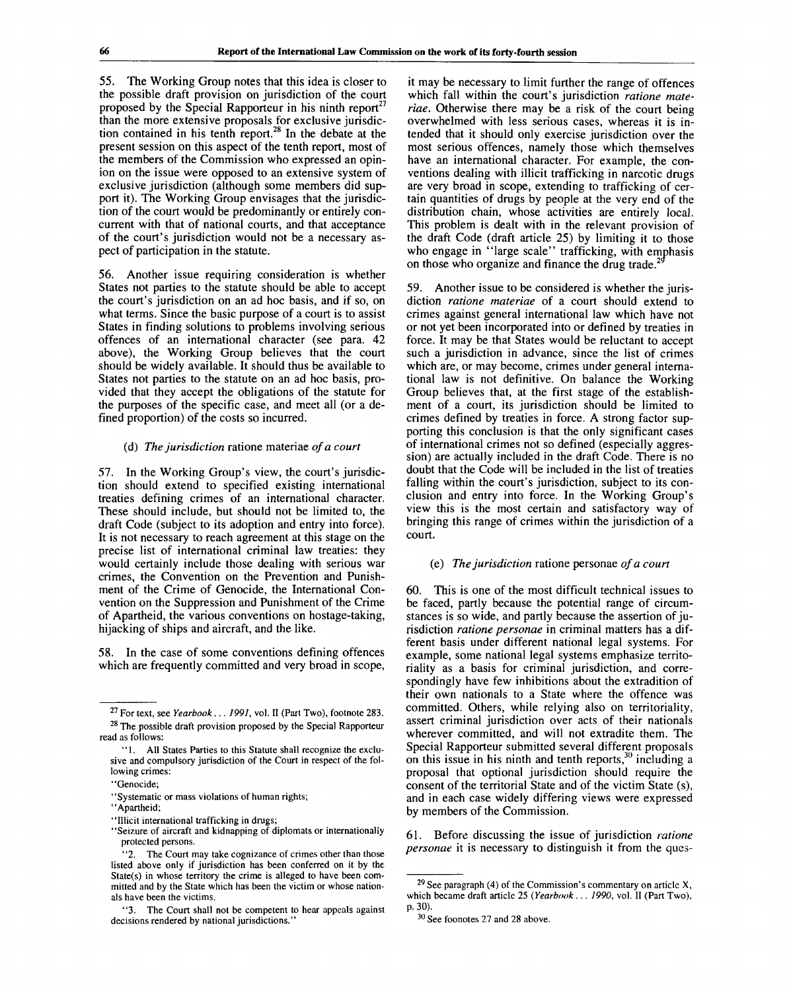55. The Working Group notes that this idea is closer to the possible draft provision on jurisdiction of the court proposed by the Special Rapporteur in his ninth report<sup>27</sup> than the more extensive proposals for exclusive jurisdiction contained in his tenth report.<sup>28</sup> In the debate at the present session on this aspect of the tenth report, most of the members of the Commission who expressed an opinion on the issue were opposed to an extensive system of exclusive jurisdiction (although some members did support it). The Working Group envisages that the jurisdiction of the court would be predominantly or entirely concurrent with that of national courts, and that acceptance of the court's jurisdiction would not be a necessary aspect of participation in the statute.

56. Another issue requiring consideration is whether States not parties to the statute should be able to accept the court's jurisdiction on an ad hoc basis, and if so, on what terms. Since the basic purpose of a court is to assist States in finding solutions to problems involving serious offences of an international character (see para. 42 above), the Working Group believes that the court should be widely available. It should thus be available to States not parties to the statute on an ad hoc basis, provided that they accept the obligations of the statute for the purposes of the specific case, and meet all (or a defined proportion) of the costs so incurred.

### (d) *The jurisdiction* ratione materiae *of a court*

57. In the Working Group's view, the court's jurisdiction should extend to specified existing international treaties defining crimes of an international character. These should include, but should not be limited to, the draft Code (subject to its adoption and entry into force). It is not necessary to reach agreement at this stage on the precise list of international criminal law treaties: they would certainly include those dealing with serious war crimes, the Convention on the Prevention and Punishment of the Crime of Genocide, the International Convention on the Suppression and Punishment of the Crime of Apartheid, the various conventions on hostage-taking, hijacking of ships and aircraft, and the like.

58. In the case of some conventions defining offences which are frequently committed and very broad in scope,

it may be necessary to limit further the range of offences which fall within the court's jurisdiction *ratione materiae.* Otherwise there may be a risk of the court being overwhelmed with less serious cases, whereas it is intended that it should only exercise jurisdiction over the most serious offences, namely those which themselves have an international character. For example, the conventions dealing with illicit trafficking in narcotic drugs are very broad in scope, extending to trafficking of certain quantities of drugs by people at the very end of the distribution chain, whose activities are entirely local. This problem is dealt with in the relevant provision of the draft Code (draft article 25) by limiting it to those who engage in "large scale" trafficking, with emphasis on those who organize and finance the drug trade.

59. Another issue to be considered is whether the jurisdiction *ratione materiae* of a court should extend to crimes against general international law which have not or not yet been incorporated into or defined by treaties in force. It may be that States would be reluctant to accept such a jurisdiction in advance, since the list of crimes which are, or may become, crimes under general international law is not definitive. On balance the Working Group believes that, at the first stage of the establishment of a court, its jurisdiction should be limited to crimes defined by treaties in force. A strong factor supporting this conclusion is that the only significant cases of international crimes not so defined (especially aggression) are actually included in the draft Code. There is no doubt that the Code will be included in the list of treaties falling within the court's jurisdiction, subject to its conclusion and entry into force. In the Working Group's view this is the most certain and satisfactory way of bringing this range of crimes within the jurisdiction of a court,

## (e) *The jurisdiction* ratione personae *of a court*

60. This is one of the most difficult technical issues to be faced, partly because the potential range of circumstances is so wide, and partly because the assertion of jurisdiction *ratione personae* in criminal matters has a different basis under different national legal systems. For example, some national legal systems emphasize territoriality as a basis for criminal jurisdiction, and correspondingly have few inhibitions about the extradition of their own nationals to a State where the offence was committed. Others, while relying also on territoriality, assert criminal jurisdiction over acts of their nationals wherever committed, and will not extradite them. The Special Rapporteur submitted several different proposals on this issue in his ninth and tenth reports, $30$  including a proposal that optional jurisdiction should require the consent of the territorial State and of the victim State (s), and in each case widely differing views were expressed by members of the Commission.

61. Before discussing the issue of jurisdiction *ratione personae* it is necessary to distinguish it from the ques-

<sup>&</sup>lt;sup>27</sup> For text, see *Yearbook... 1991*, vol. II (Part Two), footnote 283. <sup>28</sup> The possible draft provision proposed by the Special Rapporteur read as follows:

<sup>&</sup>quot;1. All States Parties to this Statute shall recognize the exclusive and compulsory jurisdiction of the Court in respect of the following crimes:

<sup>&</sup>quot;Genocide;

<sup>&</sup>quot;Systematic or mass violations of human rights;

<sup>&</sup>quot;Apartheid;

<sup>&</sup>quot;Illicit international trafficking in drugs;

<sup>&</sup>quot;Seizure of aircraft and kidnapping of diplomats or internationally protected persons.

<sup>&#</sup>x27;2. The Court may take cognizance of crimes other than those listed above only if jurisdiction has been conferred on it by the State(s) in whose territory the crime is alleged to have been committed and by the State which has been the victim or whose nationals have been the victims.

<sup>&</sup>quot;3. The Court shall not be competent to hear appeals against decisions rendered by national jurisdictions.

<sup>&</sup>lt;sup>29</sup> See paragraph (4) of the Commission's commentary on article X, which became draft article 25 *{Yearbook ... 1990,* vol. II (Part Two), p. 30).

 $30$  See foonotes 27 and 28 above.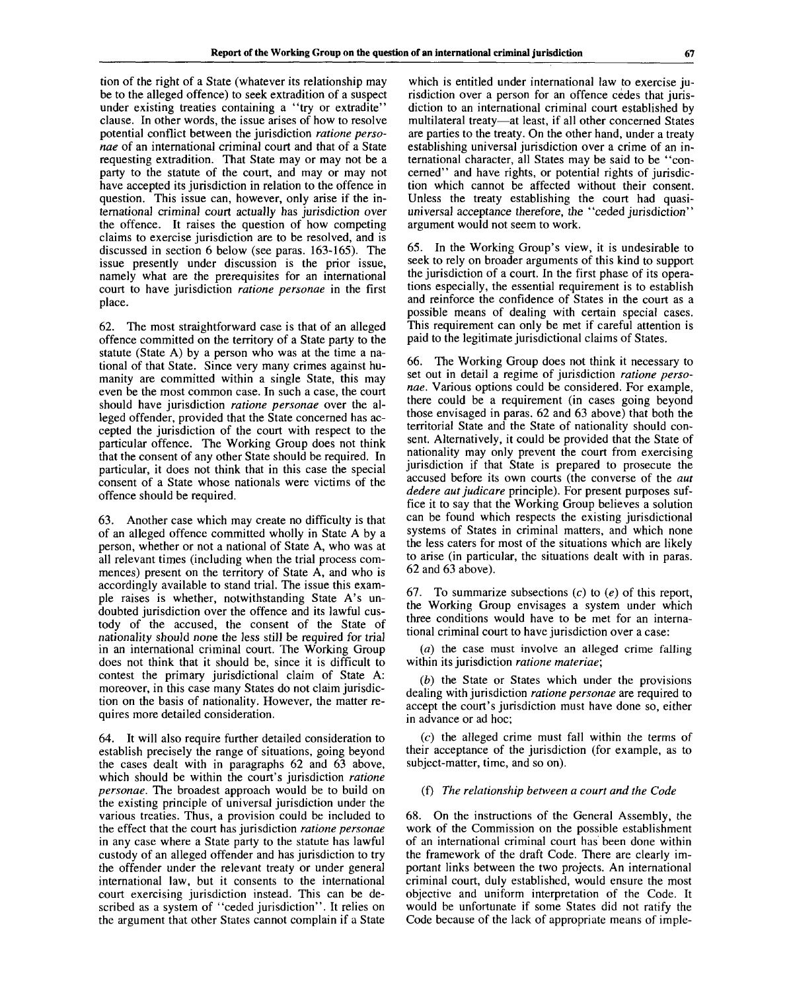tion of the right of a State (whatever its relationship may be to the alleged offence) to seek extradition of a suspect under existing treaties containing a "try or extradite" clause. In other words, the issue arises of how to resolve potential conflict between the jurisdiction *ratione personae* of an international criminal court and that of a State requesting extradition. That State may or may not be a party to the statute of the court, and may or may not have accepted its jurisdiction in relation to the offence in question. This issue can, however, only arise if the international criminal court actually has jurisdiction over the offence. It raises the question of how competing claims to exercise jurisdiction are to be resolved, and is discussed in section 6 below (see paras. 163-165). The issue presently under discussion is the prior issue, namely what are the prerequisites for an international court to have jurisdiction *ratione personae* in the first place.

62. The most straightforward case is that of an alleged offence committed on the territory of a State party to the statute (State A) by a person who was at the time a national of that State. Since very many crimes against humanity are committed within a single State, this may even be the most common case. In such a case, the court should have jurisdiction *ratione personae* over the alleged offender, provided that the State concerned has accepted the jurisdiction of the court with respect to the particular offence. The Working Group does not think that the consent of any other State should be required. In particular, it does not think that in this case the special consent of a State whose nationals were victims of the offence should be required.

63. Another case which may create no difficulty is that of an alleged offence committed wholly in State A by a person, whether or not a national of State A, who was at all relevant times (including when the trial process commences) present on the territory of State A, and who is accordingly available to stand trial. The issue this example raises is whether, notwithstanding State A's undoubted jurisdiction over the offence and its lawful custody of the accused, the consent of the State of nationality should none the less still be required for trial in an international criminal court. The Working Group does not think that it should be, since it is difficult to contest the primary jurisdictional claim of State A: moreover, in this case many States do not claim jurisdiction on the basis of nationality. However, the matter requires more detailed consideration.

64. It will also require further detailed consideration to establish precisely the range of situations, going beyond the cases dealt with in paragraphs 62 and 63 above, which should be within the court's jurisdiction *ratione personae.* The broadest approach would be to build on the existing principle of universal jurisdiction under the various treaties. Thus, a provision could be included to the effect that the court has jurisdiction *ratione personae* in any case where a State party to the statute has lawful custody of an alleged offender and has jurisdiction to try the offender under the relevant treaty or under general international law, but it consents to the international court exercising jurisdiction instead. This can be described as a system of "ceded jurisdiction". It relies on the argument that other States cannot complain if a State which is entitled under international law to exercise jurisdiction over a person for an offence cedes that jurisdiction to an international criminal court established by multilateral treaty—at least, if all other concerned States are parties to the treaty. On the other hand, under a treaty establishing universal jurisdiction over a crime of an international character, all States may be said to be "concerned" and have rights, or potential rights of jurisdiction which cannot be affected without their consent. Unless the treaty establishing the court had quasiuniversal acceptance therefore, the "ceded jurisdiction" argument would not seem to work.

65. In the Working Group's view, it is undesirable to seek to rely on broader arguments of this kind to support the jurisdiction of a court. In the first phase of its operations especially, the essential requirement is to establish and reinforce the confidence of States in the court as a possible means of dealing with certain special cases. This requirement can only be met if careful attention is paid to the legitimate jurisdictional claims of States.

66. The Working Group does not think it necessary to set out in detail a regime of jurisdiction *ratione personae.* Various options could be considered. For example, there could be a requirement (in cases going beyond those envisaged in paras. 62 and 63 above) that both the territorial State and the State of nationality should consent. Alternatively, it could be provided that the State of nationality may only prevent the court from exercising jurisdiction if that State is prepared to prosecute the accused before its own courts (the converse of the *aut dedere aut judicare* principle). For present purposes suffice it to say that the Working Group believes a solution can be found which respects the existing jurisdictional systems of States in criminal matters, and which none the less caters for most of the situations which are likely to arise (in particular, the situations dealt with in paras. 62 and 63 above).

67. To summarize subsections (c) to *(e)* of this report, the Working Group envisages a system under which three conditions would have to be met for an international criminal court to have jurisdiction over a case:

*(a)* the case must involve an alleged crime falling within its jurisdiction *ratione materiae;*

*(b)* the State or States which under the provisions dealing with jurisdiction *ratione personae* are required to accept the court's jurisdiction must have done so, either in advance or ad hoc;

 $(c)$  the alleged crime must fall within the terms of their acceptance of the jurisdiction (for example, as to subject-matter, time, and so on).

#### (f) *The relationship between a court and the Code*

68. On the instructions of the General Assembly, the work of the Commission on the possible establishment of an international criminal court has been done within the framework of the draft Code. There are clearly important links between the two projects. An international criminal court, duly established, would ensure the most objective and uniform interpretation of the Code. It would be unfortunate if some States did not ratify the Code because of the lack of appropriate means of imple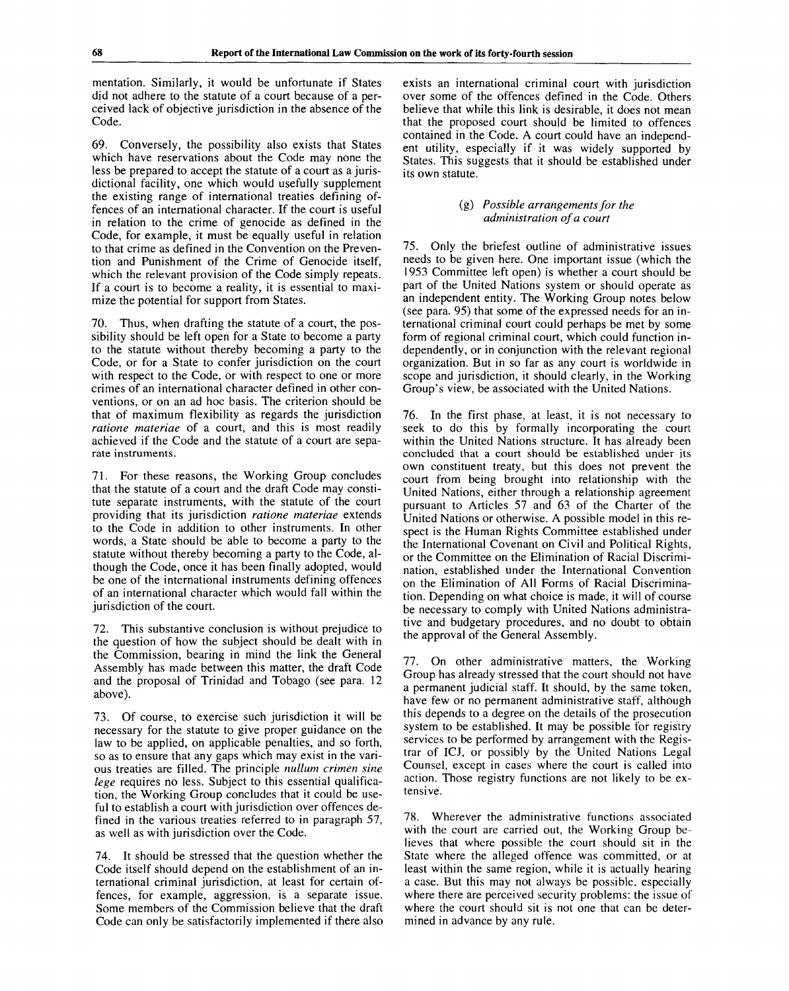mentation. Similarly, it would be unfortunate if States did not adhere to the statute of a court because of a perceived lack of objective jurisdiction in the absence of the Code.

69. Conversely, the possibility also exists that States which have reservations about the Code may none the less be prepared to accept the statute of a court as a jurisdictional facility, one which would usefully supplement the existing range of international treaties defining offences of an international character. If the court is useful in relation to the crime of genocide as defined in the Code, for example, it must be equally useful in relation to that crime as defined in the Convention on the Prevention and Punishment of the Crime of Genocide itself, which the relevant provision of the Code simply repeats. If a court is to become a reality, it is essential to maximize the potential for support from States.

70. Thus, when drafting the statute of a court, the possibility should be left open for a State to become a party to the statute without thereby becoming a party to the Code, or for a State to confer jurisdiction on the court with respect to the Code, or with respect to one or more crimes of an international character defined in other conventions, or on an ad hoc basis. The criterion should be that of maximum flexibility as regards the jurisdiction *ratione materiae* of a court, and this is most readily achieved if the Code and the statute of a court are separate instruments.

71. For these reasons, the Working Group concludes that the statute of a court and the draft Code may constitute separate instruments, with the statute of the court providing that its jurisdiction *ratione materiae* extends to the Code in addition to other instruments. In other words, a State should be able to become a party to the statute without thereby becoming a party to the Code, although the Code, once it has been finally adopted, would be one of the international instruments defining offences of an international character which would fall within the jurisdiction of the court.

72. This substantive conclusion is without prejudice to the question of how the subject should be dealt with in the Commission, bearing in mind the link the General Assembly has made between this matter, the draft Code and the proposal of Trinidad and Tobago (see para. 12 above).

73. Of course, to exercise such jurisdiction it will be necessary for the statute to give proper guidance on the law to be applied, on applicable penalties, and so forth, so as to ensure that any gaps which may exist in the various treaties are filled. The principle *nullum crimen sine lege* requires no less. Subject to this essential qualification, the Working Group concludes that it could be useful to establish a court with jurisdiction over offences defined in the various treaties referred to in paragraph 57, as well as with jurisdiction over the Code.

74. It should be stressed that the question whether the Code itself should depend on the establishment of an international criminal jurisdiction, at least for certain offences, for example, aggression, is a separate issue. Some members of the Commission believe that the draft Code can only be satisfactorily implemented if there also exists an international criminal court with jurisdiction over some of the offences defined in the Code. Others believe that while this link is desirable, it does not mean that the proposed court should be limited to offences contained in the Code. A court could have an independent utility, especially if it was widely supported by States. This suggests that it should be established under its own statute.

### (g) *Possible arrangements for the administration of a court*

75. Only the briefest outline of administrative issues needs to be given here. One important issue (which the 1953 Committee left open) is whether a court should be part of the United Nations system or should operate as an independent entity. The Working Group notes below (see para. 95) that some of the expressed needs for an international criminal court could perhaps be met by some form of regional criminal court, which could function independently, or in conjunction with the relevant regional organization. But in so far as any court is worldwide in scope and jurisdiction, it should clearly, in the Working Group's view, be associated with the United Nations.

76. In the first phase, at least, it is not necessary to seek to do this by formally incorporating the court within the United Nations structure. It has already been concluded that a court should be established under its own constituent treaty, but this does not prevent the court from being brought into relationship with the United Nations, either through a relationship agreement pursuant to Articles 57 and 63 of the Charter of the United Nations or otherwise. A possible model in this respect is the Human Rights Committee established under the International Covenant on Civil and Political Rights, or the Committee on the Elimination of Racial Discrimination, established under the International Convention on the Elimination of All Forms of Racial Discrimination. Depending on what choice is made, it will of course be necessary to comply with United Nations administrative and budgetary procedures, and no doubt to obtain the approval of the General Assembly.

77. On other administrative matters, the Working Group has already stressed that the court should not have a permanent judicial staff. It should, by the same token, have few or no permanent administrative staff, although this depends to a degree on the details of the prosecution system to be established. It may be possible for registry services to be performed by arrangement with the Registrar of ICJ, or possibly by the United Nations Legal Counsel, except in cases where the court is called into action. Those registry functions are not likely to be extensive.

78. Wherever the administrative functions associated with the court are carried out, the Working Group believes that where possible the court should sit in the State where the alleged offence was committed, or at least within the same region, while it is actually hearing a case. But this may not always be possible, especially where there are perceived security problems: the issue of where the court should sit is not one that can be determined in advance by any rule.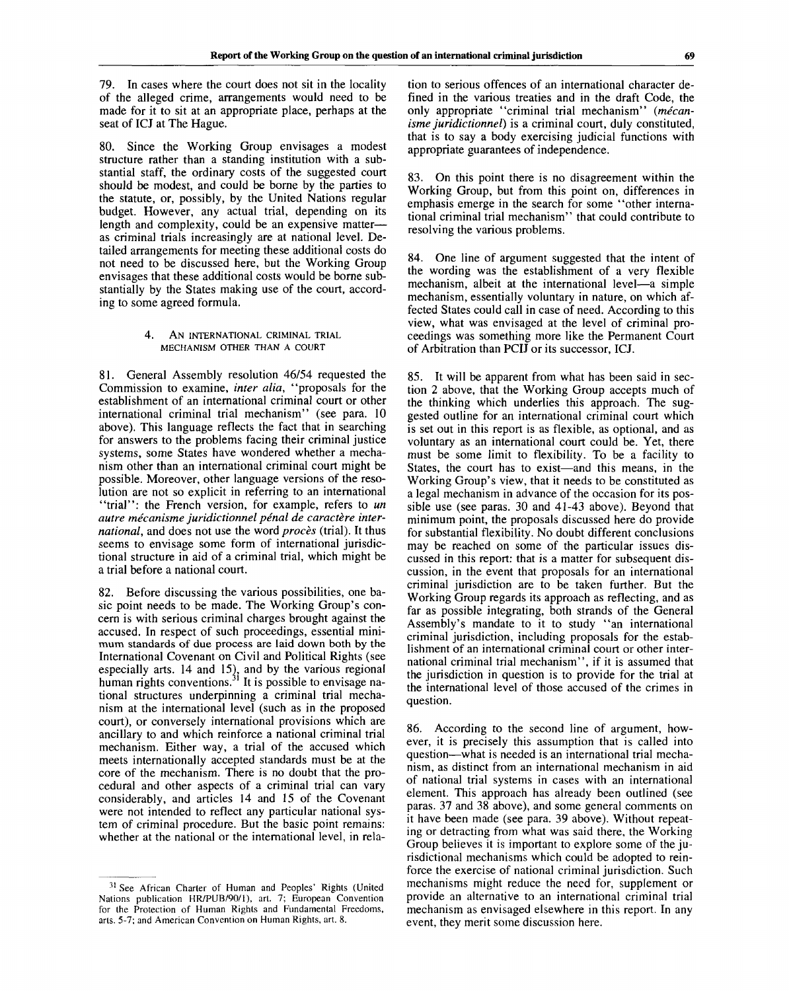79. In cases where the court does not sit in the locality of the alleged crime, arrangements would need to be made for it to sit at an appropriate place, perhaps at the seat of ICJ at The Hague.

80. Since the Working Group envisages a modest structure rather than a standing institution with a substantial staff, the ordinary costs of the suggested court should be modest, and could be borne by the parties to the statute, or, possibly, by the United Nations regular budget. However, any actual trial, depending on its length and complexity, could be an expensive matter as criminal trials increasingly are at national level. Detailed arrangements for meeting these additional costs do not need to be discussed here, but the Working Group envisages that these additional costs would be borne substantially by the States making use of the court, according to some agreed formula.

#### 4. AN INTERNATIONAL CRIMINAL TRIAL MECHANISM OTHER THAN A COURT

81. General Assembly resolution 46/54 requested the Commission to examine, *inter alia,* "proposals for the establishment of an international criminal court or other international criminal trial mechanism" (see para. 10 above). This language reflects the fact that in searching for answers to the problems facing their criminal justice systems, some States have wondered whether a mechanism other than an international criminal court might be possible. Moreover, other language versions of the resolution are not so explicit in referring to an international "trial": the French version, for example, refers to *un autre mecanisme juridictionnel penal de caractere international,* and does not use the word *proces* (trial). It thus seems to envisage some form of international jurisdictional structure in aid of a criminal trial, which might be a trial before a national court.

82. Before discussing the various possibilities, one basic point needs to be made. The Working Group's concern is with serious criminal charges brought against the accused. In respect of such proceedings, essential minimum standards of due process are laid down both by the International Covenant on Civil and Political Rights (see especially arts. 14 and 15), and by the various regional human rights conventions.<sup>31</sup> It is possible to envisage national structures underpinning a criminal trial mechanism at the international level (such as in the proposed court), or conversely international provisions which are ancillary to and which reinforce a national criminal trial mechanism. Either way, a trial of the accused which meets internationally accepted standards must be at the core of the mechanism. There is no doubt that the procedural and other aspects of a criminal trial can vary considerably, and articles 14 and 15 of the Covenant were not intended to reflect any particular national system of criminal procedure. But the basic point remains: whether at the national or the international level, in relation to serious offences of an international character defined in the various treaties and in the draft Code, the only appropriate "criminal trial mechanism" (mécan*isme juridictionnel)* is a criminal court, duly constituted, that is to say a body exercising judicial functions with appropriate guarantees of independence.

83. On this point there is no disagreement within the Working Group, but from this point on, differences in emphasis emerge in the search for some "other international criminal trial mechanism" that could contribute to resolving the various problems.

84. One line of argument suggested that the intent of the wording was the establishment of a very flexible mechanism, albeit at the international level—a simple mechanism, essentially voluntary in nature, on which affected States could call in case of need. According to this view, what was envisaged at the level of criminal proceedings was something more like the Permanent Court of Arbitration than PCIJ or its successor, ICJ.

85. It will be apparent from what has been said in section 2 above, that the Working Group accepts much of the thinking which underlies this approach. The suggested outline for an international criminal court which is set out in this report is as flexible, as optional, and as voluntary as an international court could be. Yet, there must be some limit to flexibility. To be a facility to States, the court has to exist—and this means, in the Working Group's view, that it needs to be constituted as a legal mechanism in advance of the occasion for its possible use (see paras. 30 and 41-43 above). Beyond that minimum point, the proposals discussed here do provide for substantial flexibility. No doubt different conclusions may be reached on some of the particular issues discussed in this report: that is a matter for subsequent discussion, in the event that proposals for an international criminal jurisdiction are to be taken further. But the Working Group regards its approach as reflecting, and as far as possible integrating, both strands of the General Assembly's mandate to it to study "an international criminal jurisdiction, including proposals for the establishment of an international criminal court or other international criminal trial mechanism", if it is assumed that the jurisdiction in question is to provide for the trial at the international level of those accused of the crimes in question.

86. According to the second line of argument, however, it is precisely this assumption that is called into question—what is needed is an international trial mechanism, as distinct from an international mechanism in aid of national trial systems in cases with an international element. This approach has already been outlined (see paras. 37 and 38 above), and some general comments on it have been made (see para. 39 above). Without repeating or detracting from what was said there, the Working Group believes it is important to explore some of the jurisdictional mechanisms which could be adopted to reinforce the exercise of national criminal jurisdiction. Such mechanisms might reduce the need for, supplement or provide an alternative to an international criminal trial mechanism as envisaged elsewhere in this report. In any event, they merit some discussion here.

<sup>&</sup>lt;sup>31</sup> See African Charter of Human and Peoples' Rights (United Nations publication HR/PUB/90/1), art. 7; European Convention for the Protection of Human Rights and Fundamental Freedoms, arts. 5-7; and American Convention on Human Rights, art. 8.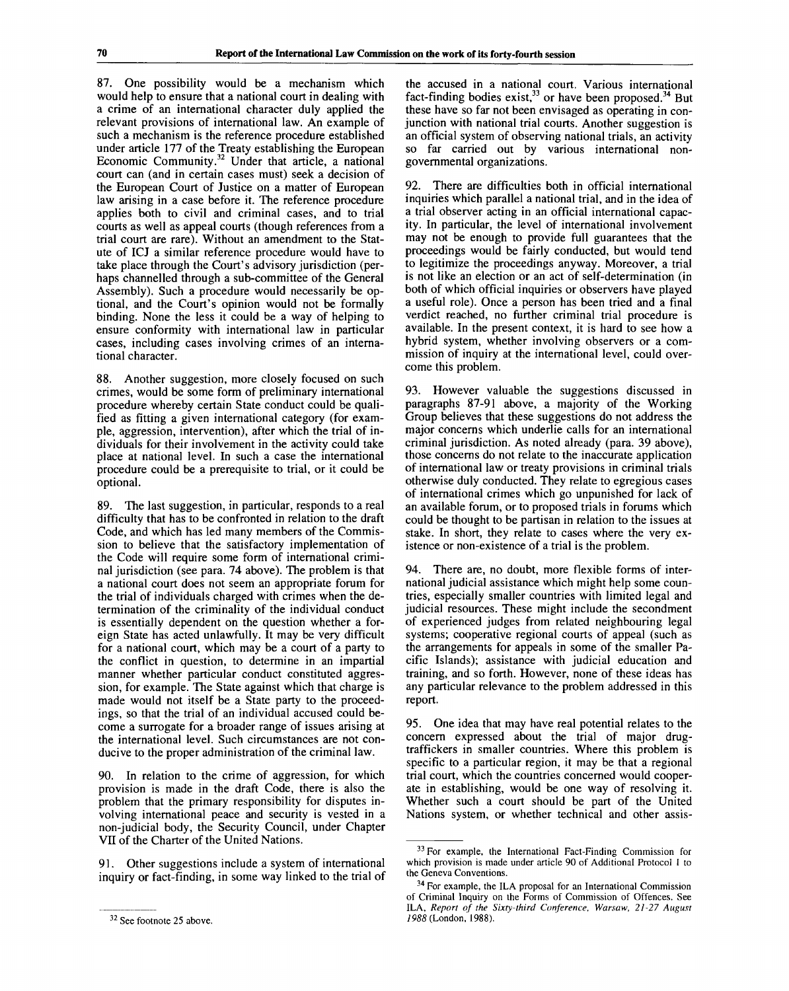87. One possibility would be a mechanism which would help to ensure that a national court in dealing with a crime of an international character duly applied the relevant provisions of international law. An example of such a mechanism is the reference procedure established under article 177 of the Treaty establishing the European Economic Community.<sup>32</sup> Under that article, a national court can (and in certain cases must) seek a decision of the European Court of Justice on a matter of European law arising in a case before it. The reference procedure applies both to civil and criminal cases, and to trial courts as well as appeal courts (though references from a trial court are rare). Without an amendment to the Statute of ICJ a similar reference procedure would have to take place through the Court's advisory jurisdiction (perhaps channelled through a sub-committee of the General Assembly). Such a procedure would necessarily be optional, and the Court's opinion would not be formally binding. None the less it could be a way of helping to ensure conformity with international law in particular cases, including cases involving crimes of an international character.

88. Another suggestion, more closely focused on such crimes, would be some form of preliminary international procedure whereby certain State conduct could be qualified as fitting a given international category (for example, aggression, intervention), after which the trial of individuals for their involvement in the activity could take place at national level. In such a case the international procedure could be a prerequisite to trial, or it could be optional.

89. The last suggestion, in particular, responds to a real difficulty that has to be confronted in relation to the draft Code, and which has led many members of the Commission to believe that the satisfactory implementation of the Code will require some form of international criminal jurisdiction (see para. 74 above). The problem is that a national court does not seem an appropriate forum for the trial of individuals charged with crimes when the determination of the criminality of the individual conduct is essentially dependent on the question whether a foreign State has acted unlawfully. It may be very difficult for a national court, which may be a court of a party to the conflict in question, to determine in an impartial manner whether particular conduct constituted aggression, for example. The State against which that charge is made would not itself be a State party to the proceedings, so that the trial of an individual accused could become a surrogate for a broader range of issues arising at the international level. Such circumstances are not conducive to the proper administration of the criminal law.

90. In relation to the crime of aggression, for which provision is made in the draft Code, there is also the problem that the primary responsibility for disputes involving international peace and security is vested in a non-judicial body, the Security Council, under Chapter VII of the Charter of the United Nations.

91. Other suggestions include a system of international inquiry or fact-finding, in some way linked to the trial of the accused in a national court. Various international fact-finding bodies exist,<sup>33</sup> or have been proposed.<sup>34</sup> But these have so far not been envisaged as operating in conjunction with national trial courts. Another suggestion is an official system of observing national trials, an activity so far carried out by various international nongovernmental organizations.

92. There are difficulties both in official international inquiries which parallel a national trial, and in the idea of a trial observer acting in an official international capacity. In particular, the level of international involvement may not be enough to provide full guarantees that the proceedings would be fairly conducted, but would tend to legitimize the proceedings anyway. Moreover, a trial is not like an election or an act of self-determination (in both of which official inquiries or observers have played a useful role). Once a person has been tried and a final verdict reached, no further criminal trial procedure is available. In the present context, it is hard to see how a hybrid system, whether involving observers or a commission of inquiry at the international level, could overcome this problem.

93. However valuable the suggestions discussed in paragraphs 87-91 above, a majority of the Working Group believes that these suggestions do not address the major concerns which underlie calls for an international criminal jurisdiction. As noted already (para. 39 above), those concerns do not relate to the inaccurate application of international law or treaty provisions in criminal trials otherwise duly conducted. They relate to egregious cases of international crimes which go unpunished for lack of an available forum, or to proposed trials in forums which could be thought to be partisan in relation to the issues at stake. In short, they relate to cases where the very existence or non-existence of a trial is the problem.

94. There are, no doubt, more flexible forms of international judicial assistance which might help some countries, especially smaller countries with limited legal and judicial resources. These might include the secondment of experienced judges from related neighbouring legal systems; cooperative regional courts of appeal (such as the arrangements for appeals in some of the smaller Pacific Islands); assistance with judicial education and training, and so forth. However, none of these ideas has any particular relevance to the problem addressed in this report.

95. One idea that may have real potential relates to the concern expressed about the trial of major drugtraffickers in smaller countries. Where this problem is specific to a particular region, it may be that a regional trial court, which the countries concerned would cooperate in establishing, would be one way of resolving it. Whether such a court should be part of the United Nations system, or whether technical and other assis-

<sup>&</sup>lt;sup>32</sup> See footnote 25 above.

<sup>&</sup>lt;sup>33</sup> For example, the International Fact-Finding Commission for which provision is made under article 90 of Additional Protocol 1 to the Geneva Conventions.

<sup>&</sup>lt;sup>34</sup> For example, the ILA proposal for an International Commission of Criminal Inquiry on the Forms of Commission of Offences. See ILA, *Report of the Sixty-third Conference, Warsaw, 21-27 August 1988* (London, 1988).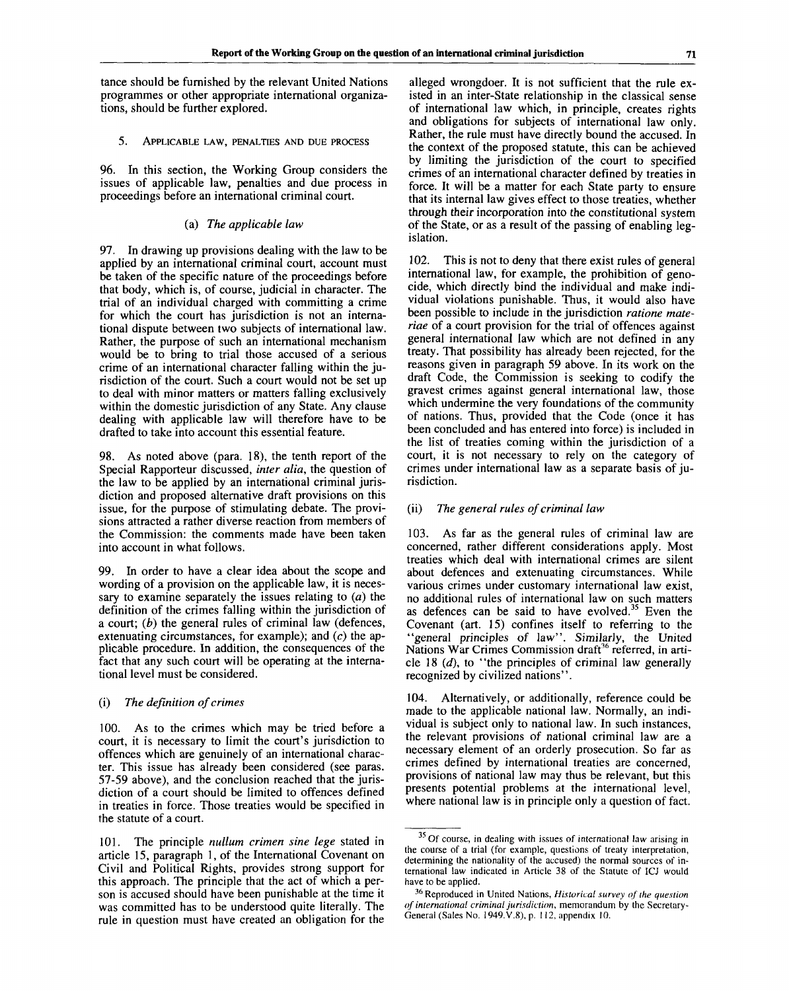tance should be furnished by the relevant United Nations programmes or other appropriate international organizations, should be further explored.

5. APPLICABLE LAW, PENALTIES AND DUE PROCESS

96. In this section, the Working Group considers the issues of applicable law, penalties and due process in proceedings before an international criminal court.

#### (a) *The applicable law*

97. In drawing up provisions dealing with the law to be applied by an international criminal court, account must be taken of the specific nature of the proceedings before that body, which is, of course, judicial in character. The trial of an individual charged with committing a crime for which the court has jurisdiction is not an international dispute between two subjects of international law. Rather, the purpose of such an international mechanism would be to bring to trial those accused of a serious crime of an international character falling within the jurisdiction of the court. Such a court would not be set up to deal with minor matters or matters falling exclusively within the domestic jurisdiction of any State. Any clause dealing with applicable law will therefore have to be drafted to take into account this essential feature.

98. As noted above (para. 18), the tenth report of the Special Rapporteur discussed, *inter alia,* the question of the law to be applied by an international criminal jurisdiction and proposed alternative draft provisions on this issue, for the purpose of stimulating debate. The provisions attracted a rather diverse reaction from members of the Commission: the comments made have been taken into account in what follows.

99. In order to have a clear idea about the scope and wording of a provision on the applicable law, it is necessary to examine separately the issues relating to  $(a)$  the definition of the crimes falling within the jurisdiction of a court; *(b)* the general rules of criminal law (defences, extenuating circumstances, for example); and *(c)* the applicable procedure. In addition, the consequences of the fact that any such court will be operating at the international level must be considered.

## (i) *The definition of crimes*

100. As to the crimes which may be tried before a court, it is necessary to limit the court's jurisdiction to offences which are genuinely of an international character. This issue has already been considered (see paras. 57-59 above), and the conclusion reached that the jurisdiction of a court should be limited to offences defined in treaties in force. Those treaties would be specified in the statute of a court.

101. The principle *nullum crimen sine lege* stated in article 15, paragraph 1, of the International Covenant on Civil and Political Rights, provides strong support for this approach. The principle that the act of which a person is accused should have been punishable at the time it was committed has to be understood quite literally. The rule in question must have created an obligation for the

alleged wrongdoer. It is not sufficient that the rule existed in an inter-State relationship in the classical sense of international law which, in principle, creates rights and obligations for subjects of international law only. Rather, the rule must have directly bound the accused. In the context of the proposed statute, this can be achieved by limiting the jurisdiction of the court to specified crimes of an international character defined by treaties in force. It will be a matter for each State party to ensure that its internal law gives effect to those treaties, whether through their incorporation into the constitutional system of the State, or as a result of the passing of enabling legislation.

102. This is not to deny that there exist rules of general international law, for example, the prohibition of genocide, which directly bind the individual and make individual violations punishable. Thus, it would also have been possible to include in the jurisdiction *ratione materiae* of a court provision for the trial of offences against general international law which are not defined in any treaty. That possibility has already been rejected, for the reasons given in paragraph 59 above. In its work on the draft Code, the Commission is seeking to codify the gravest crimes against general international law, those which undermine the very foundations of the community of nations. Thus, provided that the Code (once it has been concluded and has entered into force) is included in the list of treaties coming within the jurisdiction of a court, it is not necessary to rely on the category of crimes under international law as a separate basis of jurisdiction.

### (ii) *The general rules of criminal law*

103. As far as the general rules of criminal law are concerned, rather different considerations apply. Most treaties which deal with international crimes are silent about defences and extenuating circumstances. While various crimes under customary international law exist, no additional rules of international law on such matters as defences can be said to have evolved.<sup>35</sup> Even the Covenant (art. 15) confines itself to referring to the "general principles of law". Similarly, the United Nations War Crimes Commission draft<sup>36</sup> referred, in article 18 *(d),* to "the principles of criminal law generally recognized by civilized nations".

104. Alternatively, or additionally, reference could be made to the applicable national law. Normally, an individual is subject only to national law. In such instances, the relevant provisions of national criminal law are a necessary element of an orderly prosecution. So far as crimes defined by international treaties are concerned, provisions of national law may thus be relevant, but this presents potential problems at the international level, where national law is in principle only a question of fact.

<sup>&</sup>lt;sup>35</sup> Of course, in dealing with issues of international law arising in the course of a trial (for example, questions of treaty interpretation, determining the nationality of the accused) the normal sources of international law indicated in Article 38 of the Statute of ICJ would have to be applied.

<sup>36</sup> Reproduced in United Nations, *Historical survey of the question of international criminal jurisdiction,* memorandum by the Secretary-General (Sales No. 1949.V.8), p. 112, appendix 10.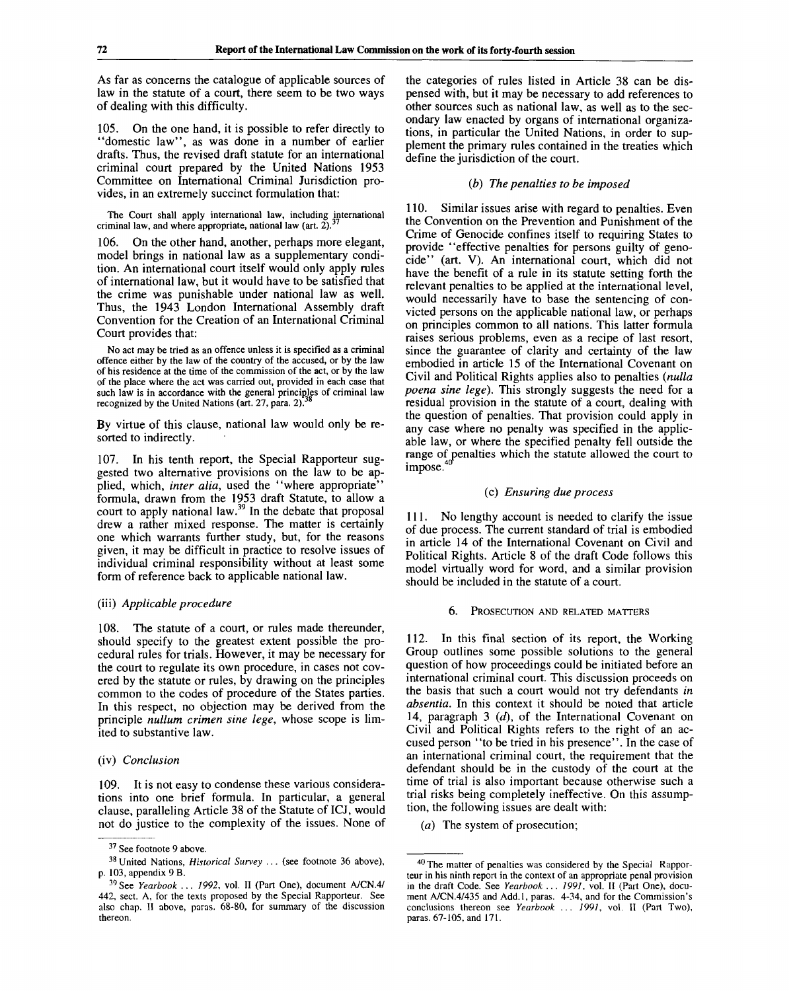As far as concerns the catalogue of applicable sources of law in the statute of a court, there seem to be two ways of dealing with this difficulty.

105. On the one hand, it is possible to refer directly to "domestic law", as was done in a number of earlier drafts. Thus, the revised draft statute for an international criminal court prepared by the United Nations 1953 Committee on International Criminal Jurisdiction provides, in an extremely succinct formulation that:

**The Court shall apply international law, including international criminal law, and where appropriate, national law (art.** 2).<sup>37</sup>

106. On the other hand, another, perhaps more elegant, model brings in national law as a supplementary condition. An international court itself would only apply rules of international law, but it would have to be satisfied that the crime was punishable under national law as well. Thus, the 1943 London International Assembly draft Convention for the Creation of an International Criminal Court provides that:

**No act may be tried as an offence unless it is specified as a criminal offence either by the law of the country of the accused, or by the law of his residence at the time of the commission of the act, or by the law of the place where the act was carried out, provided in each** case **that** such law is in accordance with the general principles of criminal law<br>recognized by the United Nations (ert.  $27.2938$ **recognized by the United Nations (art. 27, para. 2).**

By virtue of this clause, national law would only be resorted to indirectly.

107. In his tenth report, the Special Rapporteur suggested two alternative provisions on the law to be applied, which, *inter alia*, used the "where appropriate" formula, drawn from the 1953 draft Statute, to allow a court to apply national law.<sup>39</sup> In the debate that proposal drew a rather mixed response. The matter is certainly one which warrants further study, but, for the reasons given, it may be difficult in practice to resolve issues of individual criminal responsibility without at least some form of reference back to applicable national law.

## (iii) *Applicable procedure*

108. The statute of a court, or rules made thereunder, should specify to the greatest extent possible the procedural rules for trials. However, it may be necessary for the court to regulate its own procedure, in cases not covered by the statute or rules, by drawing on the principles common to the codes of procedure of the States parties. In this respect, no objection may be derived from the principle *nullum crimen sine lege,* whose scope is limited to substantive law.

#### (iv) *Conclusion*

109. It is not easy to condense these various considerations into one brief formula. In particular, a general clause, paralleling Article 38 of the Statute of ICJ, would not do justice to the complexity of the issues. None of the categories of rules listed in Article 38 can be dispensed with, but it may be necessary to add references to other sources such as national law, as well as to the secondary law enacted by organs of international organizations, in particular the United Nations, in order to supplement the primary rules contained in the treaties which define the jurisdiction of the court.

### *(b) The penalties to be imposed*

110. Similar issues arise with regard to penalties. Even the Convention on the Prevention and Punishment of the Crime of Genocide confines itself to requiring States to provide "effective penalties for persons guilty of genocide" (art. V). An international court, which did not have the benefit of a rule in its statute setting forth the relevant penalties to be applied at the international level, would necessarily have to base the sentencing of convicted persons on the applicable national law, or perhaps on principles common to all nations. This latter formula raises serious problems, even as a recipe of last resort, since the guarantee of clarity and certainty of the law embodied in article 15 of the International Covenant on Civil and Political Rights applies also to penalties *(nulla poena sine lege).* This strongly suggests the need for a residual provision in the statute of a court, dealing with the question of penalties. That provision could apply in any case where no penalty was specified in the applicable law, or where the specified penalty fell outside the range of penalties which the statute allowed the court to impose.<sup>40</sup>

#### (c) *Ensuring due process*

111. No lengthy account is needed to clarify the issue of due process. The current standard of trial is embodied in article 14 of the International Covenant on Civil and Political Rights. Article 8 of the draft Code follows this model virtually word for word, and a similar provision should be included in the statute of a court.

#### 6. PROSECUTION AND RELATED MATTERS

112. In this final section of its report, the Working Group outlines some possible solutions to the general question of how proceedings could be initiated before an international criminal court. This discussion proceeds on the basis that such a court would not try defendants *in absentia.* In this context it should be noted that article 14, paragraph 3 *(d),* of the International Covenant on Civil and Political Rights refers to the right of an accused person "to be tried in his presence". In the case of an international criminal court, the requirement that the defendant should be in the custody of the court at the time of trial is also important because otherwise such a trial risks being completely ineffective. On this assumption, the following issues are dealt with:

*(a)* The system of prosecution;

<sup>&</sup>lt;sup>37</sup> See footnote 9 above.

<sup>&</sup>lt;sup>38</sup> United Nations, *Historical Survey ...* (see footnote 36 above), p. 103, appendix 9 B.

<sup>&</sup>lt;sup>39</sup> See *Yearbook ... 1992*, vol. II (Part One), document A/CN.4/ 442, sect. A, for the texts proposed by the Special Rapporteur. See also chap. II above, paras. 68-80, for summary of the discussion thereon.

<sup>&</sup>lt;sup>40</sup> The matter of penalties was considered by the Special Rapporteur in his ninth report in the context of an appropriate penal provision in the draft Code. See *Yearbook ... 1991,* vol. II (Part One), document A/CN.4/435 and Add.l, paras. 4-34, and for the Commission's conclusions thereon see *Yearbook ... 1991,* vol. II (Part Two), paras. 67-105, and 171.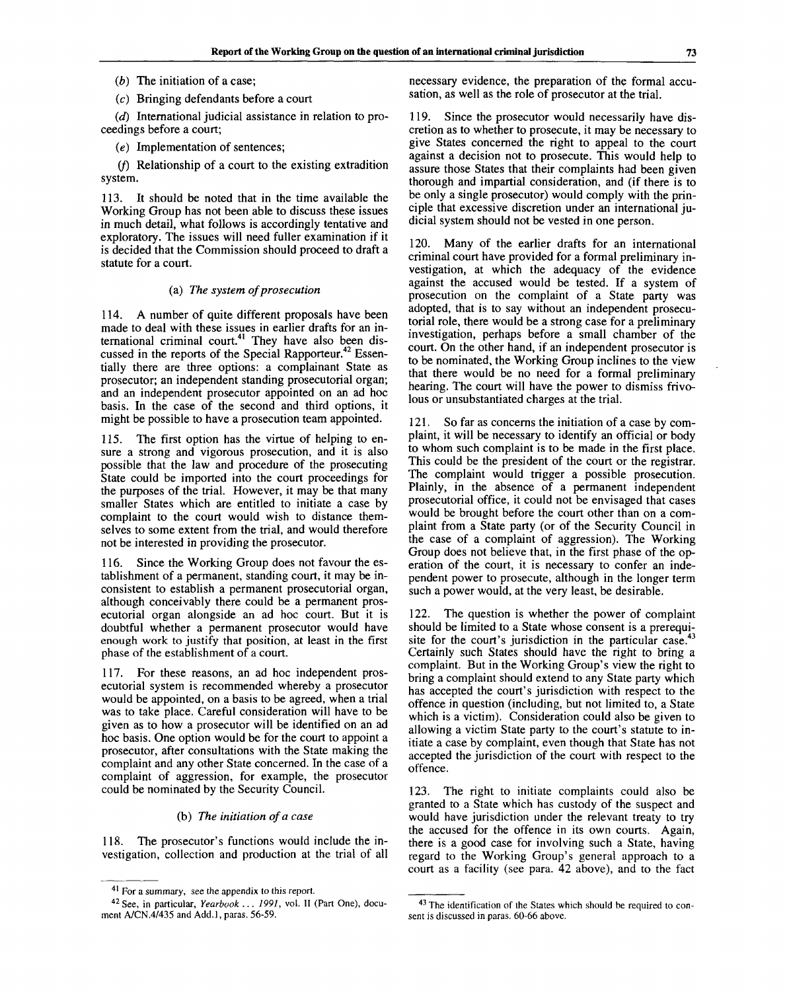*(b)* The initiation of a case;

(c) Bringing defendants before a court

*(d)* International judicial assistance in relation to proceedings before a court;

*(e)* Implementation of sentences;

 $(f)$  Relationship of a court to the existing extradition system.

113. It should be noted that in the time available the Working Group has not been able to discuss these issues in much detail, what follows is accordingly tentative and exploratory. The issues will need fuller examination if it is decided that the Commission should proceed to draft a statute for a court.

## (a) *The system of prosecution*

114. A number of quite different proposals have been made to deal with these issues in earlier drafts for an international criminal court.<sup>41</sup> They have also been discussed in the reports of the Special Rapporteur.<sup>42</sup> Essentially there are three options: a complainant State as prosecutor; an independent standing prosecutorial organ; and an independent prosecutor appointed on an ad hoc basis. In the case of the second and third options, it might be possible to have a prosecution team appointed.

115. The first option has the virtue of helping to ensure a strong and vigorous prosecution, and it is also possible that the law and procedure of the prosecuting State could be imported into the court proceedings for the purposes of the trial. However, it may be that many smaller States which are entitled to initiate a case by complaint to the court would wish to distance themselves to some extent from the trial, and would therefore not be interested in providing the prosecutor.

116. Since the Working Group does not favour the establishment of a permanent, standing court, it may be inconsistent to establish a permanent prosecutorial organ, although conceivably there could be a permanent prosecutorial organ alongside an ad hoc court. But it is doubtful whether a permanent prosecutor would have enough work to justify that position, at least in the first phase of the establishment of a court.

117. For these reasons, an ad hoc independent prosecutorial system is recommended whereby a prosecutor would be appointed, on a basis to be agreed, when a trial was to take place. Careful consideration will have to be given as to how a prosecutor will be identified on an ad hoc basis. One option would be for the court to appoint a prosecutor, after consultations with the State making the complaint and any other State concerned. In the case of a complaint of aggression, for example, the prosecutor could be nominated by the Security Council.

## (b) *The initiation of a case*

118. The prosecutor's functions would include the investigation, collection and production at the trial of all necessary evidence, the preparation of the formal accusation, as well as the role of prosecutor at the trial.

119. Since the prosecutor would necessarily have discretion as to whether to prosecute, it may be necessary to give States concerned the right to appeal to the court against a decision not to prosecute. This would help to assure those States that their complaints had been given thorough and impartial consideration, and (if there is to be only a single prosecutor) would comply with the principle that excessive discretion under an international judicial system should not be vested in one person.

120. Many of the earlier drafts for an international criminal court have provided for a formal preliminary investigation, at which the adequacy of the evidence against the accused would be tested. If a system of prosecution on the complaint of a State party was adopted, that is to say without an independent prosecutorial role, there would be a strong case for a preliminary investigation, perhaps before a small chamber of the court. On the other hand, if an independent prosecutor is to be nominated, the Working Group inclines to the view that there would be no need for a formal preliminary hearing. The court will have the power to dismiss frivolous or unsubstantiated charges at the trial.

121. So far as concerns the initiation of a case by complaint, it will be necessary to identify an official or body to whom such complaint is to be made in the first place. This could be the president of the court or the registrar. The complaint would trigger a possible prosecution. Plainly, in the absence of a permanent independent prosecutorial office, it could not be envisaged that cases would be brought before the court other than on a complaint from a State party (or of the Security Council in the case of a complaint of aggression). The Working Group does not believe that, in the first phase of the operation of the court, it is necessary to confer an independent power to prosecute, although in the longer term such a power would, at the very least, be desirable.

122. The question is whether the power of complaint should be limited to a State whose consent is a prerequisite for the court's jurisdiction in the particular case.<sup>43</sup> Certainly such States should have the right to bring a complaint. But in the Working Group's view the right to bring a complaint should extend to any State party which has accepted the court's jurisdiction with respect to the offence in question (including, but not limited to, a State which is a victim). Consideration could also be given to allowing a victim State party to the court's statute to initiate a case by complaint, even though that State has not accepted the jurisdiction of the court with respect to the offence.

123. The right to initiate complaints could also be granted to a State which has custody of the suspect and would have jurisdiction under the relevant treaty to try the accused for the offence in its own courts. Again, there is a good case for involving such a State, having regard to the Working Group's general approach to a court as a facility (see para. 42 above), and to the fact

<sup>&</sup>lt;sup>41</sup> For a summary, see the appendix to this report.

<sup>42</sup> See, in particular, *Yearbook ... 1991,* vol. II (Part One), document A/CN.4/435 and Add.1, paras. 56-59.

<sup>&</sup>lt;sup>43</sup> The identification of the States which should be required to consent is discussed in paras. 60-66 above.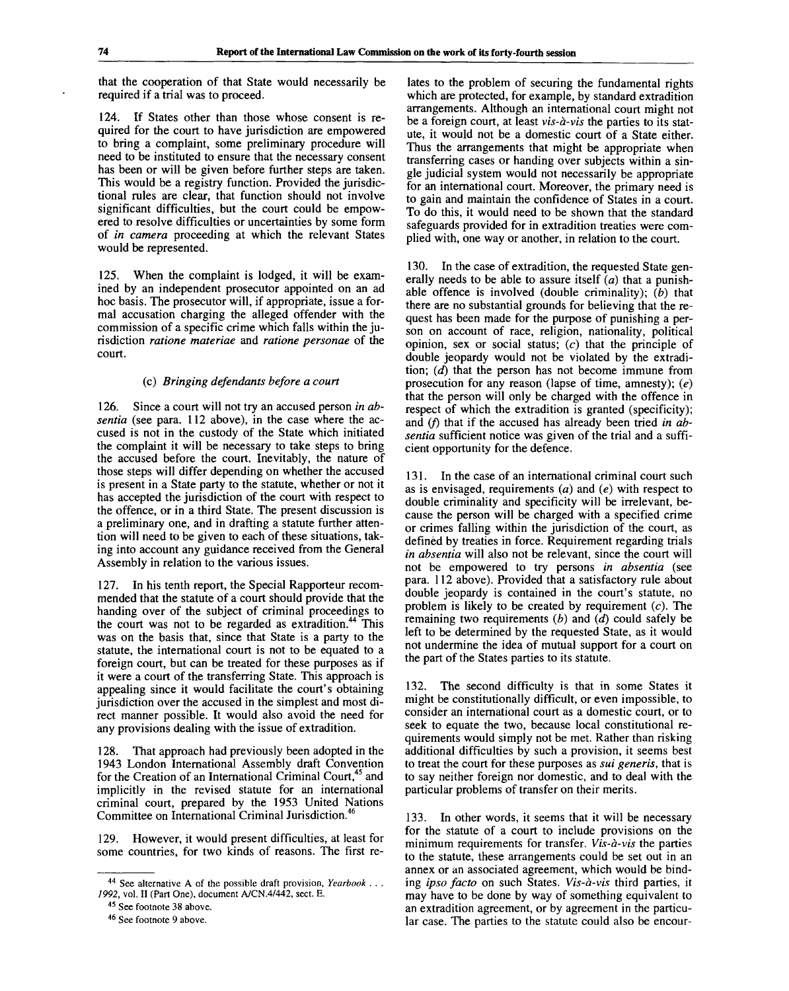that the cooperation of that State would necessarily be required if a trial was to proceed.

124. If States other than those whose consent is required for the court to have jurisdiction are empowered to bring a complaint, some preliminary procedure will need to be instituted to ensure that the necessary consent has been or will be given before further steps are taken. This would be a registry function. Provided the jurisdictional rules are clear, that function should not involve significant difficulties, but the court could be empowered to resolve difficulties or uncertainties by some form of *in camera* proceeding at which the relevant States would be represented.

125. When the complaint is lodged, it will be examined by an independent prosecutor appointed on an ad hoc basis. The prosecutor will, if appropriate, issue a formal accusation charging the alleged offender with the commission of a specific crime which falls within the jurisdiction *ratione materiae* and *ratione personae* of the court.

### (c) *Bringing defendants before a court*

126. Since a court will not try an accused person *in absentia* (see para. 112 above), in the case where the accused is not in the custody of the State which initiated the complaint it will be necessary to take steps to bring the accused before the court. Inevitably, the nature of those steps will differ depending on whether the accused is present in a State party to the statute, whether or not it has accepted the jurisdiction of the court with respect to the offence, or in a third State. The present discussion is a preliminary one, and in drafting a statute further attention will need to be given to each of these situations, taking into account any guidance received from the General Assembly in relation to the various issues.

127. In his tenth report, the Special Rapporteur recommended that the statute of a court should provide that the handing over of the subject of criminal proceedings to the court was not to be regarded as extradition.<sup>44</sup> This was on the basis that, since that State is a party to the statute, the international court is not to be equated to a foreign court, but can be treated for these purposes as if it were a court of the transferring State. This approach is appealing since it would facilitate the court's obtaining jurisdiction over the accused in the simplest and most direct manner possible. It would also avoid the need for any provisions dealing with the issue of extradition.

128. That approach had previously been adopted in the 1943 London International Assembly draft Convention for the Creation of an International Criminal Court,<sup>45</sup> and implicitly in the revised statute for an international criminal court, prepared by the 1953 United Nations Committee on International Criminal Jurisdiction.<sup>4</sup>

129. However, it would present difficulties, at least for some countries, for two kinds of reasons. The first re-

<sup>45</sup> See footnote 38 above.

lates to the problem of securing the fundamental rights which are protected, for example, by standard extradition arrangements. Although an international court might not be a foreign court, at least *vis-a-vis* the parties to its statute, it would not be a domestic court of a State either. Thus the arrangements that might be appropriate when transferring cases or handing over subjects within a single judicial system would not necessarily be appropriate for an international court. Moreover, the primary need is to gain and maintain the confidence of States in a court. To do this, it would need to be shown that the standard safeguards provided for in extradition treaties were complied with, one way or another, in relation to the court.

130. In the case of extradition, the requested State generally needs to be able to assure itself *(a)* that a punishable offence is involved (double criminality); *(b)* that there are no substantial grounds for believing that the request has been made for the purpose of punishing a person on account of race, religion, nationality, political opinion, sex or social status;  $(c)$  that the principle of double jeopardy would not be violated by the extradition; *(d)* that the person has not become immune from prosecution for any reason (lapse of time, amnesty); *(e)* that the person will only be charged with the offence in respect of which the extradition is granted (specificity); and (f) that if the accused has already been tried in ab*sentia* sufficient notice was given of the trial and a sufficient opportunity for the defence.

131. In the case of an international criminal court such as is envisaged, requirements *(a)* and *(e)* with respect to double criminality and specificity will be irrelevant, because the person will be charged with a specified crime or crimes falling within the jurisdiction of the court, as defined by treaties in force. Requirement regarding trials *in absentia* will also not be relevant, since the court will not be empowered to try persons *in absentia* (see para. 112 above). Provided that a satisfactory rule about double jeopardy is contained in the court's statute, no problem is likely to be created by requirement  $(c)$ . The remaining two requirements *(b)* and *(d)* could safely be left to be determined by the requested State, as it would not undermine the idea of mutual support for a court on the part of the States parties to its statute.

132. The second difficulty is that in some States it might be constitutionally difficult, or even impossible, to consider an international court as a domestic court, or to seek to equate the two, because local constitutional requirements would simply not be met. Rather than risking additional difficulties by such a provision, it seems best to treat the court for these purposes as *sui generis,* that is to say neither foreign nor domestic, and to deal with the particular problems of transfer on their merits.

133. In other words, it seems that it will be necessary for the statute of a court to include provisions on the minimum requirements for transfer. *Vis-a-vis* the parties to the statute, these arrangements could be set out in an annex or an associated agreement, which would be binding *ipso facto* on such States. *Vis-a-vis* third parties, it may have to be done by way of something equivalent to an extradition agreement, or by agreement in the particular case. The parties to the statute could also be encour-

<sup>44</sup> See alternative A of the possible draft provision, *Yearbook . . . 1992,* vol. II (Part One), document A/CN.4/442, sect. E.

<sup>46</sup> See footnote 9 above.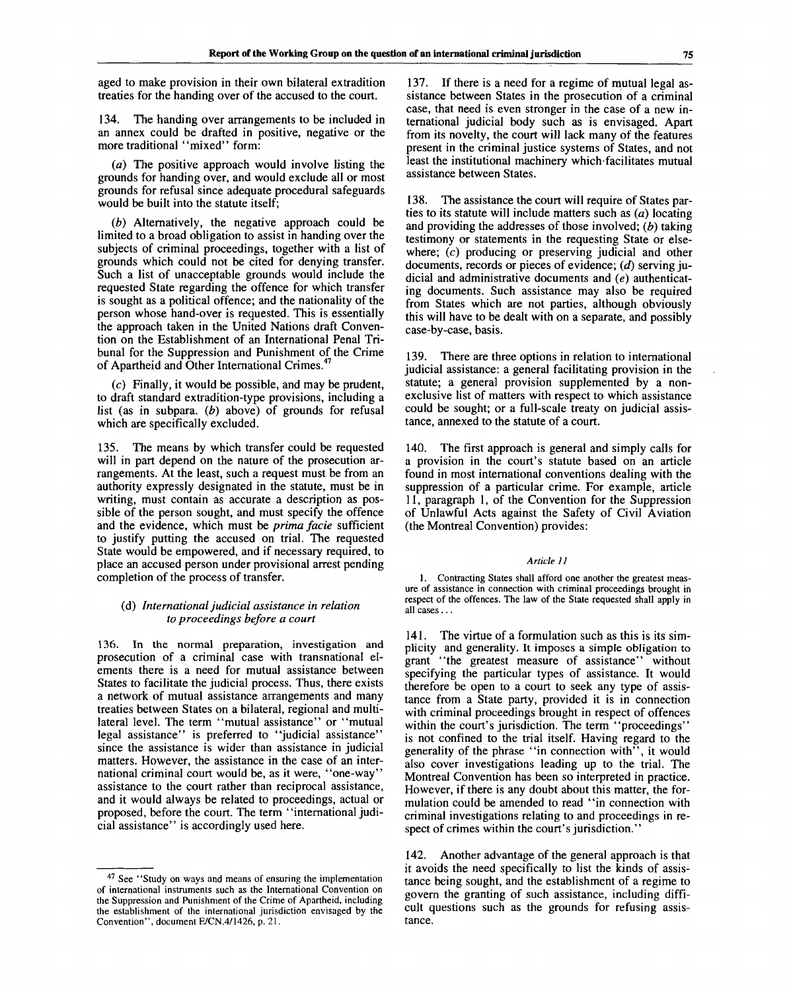aged to make provision in their own bilateral extradition treaties for the handing over of the accused to the court.

134. The handing over arrangements to be included in an annex could be drafted in positive, negative or the more traditional "mixed" form:

*(a)* The positive approach would involve listing the grounds for handing over, and would exclude all or most grounds for refusal since adequate procedural safeguards would be built into the statute itself;

*(b)* Alternatively, the negative approach could be limited to a broad obligation to assist in handing over the subjects of criminal proceedings, together with a list of grounds which could not be cited for denying transfer. Such a list of unacceptable grounds would include the requested State regarding the offence for which transfer is sought as a political offence; and the nationality of the person whose hand-over is requested. This is essentially the approach taken in the United Nations draft Convention on the Establishment of an International Penal Tribunal for the Suppression and Punishment of the Crime of Apartheid and Other International Crimes.<sup>4</sup>

(c) Finally, it would be possible, and may be prudent, to draft standard extradition-type provisions, including a list (as in subpara. *(b)* above) of grounds for refusal which are specifically excluded.

135. The means by which transfer could be requested will in part depend on the nature of the prosecution arrangements. At the least, such a request must be from an authority expressly designated in the statute, must be in writing, must contain as accurate a description as possible of the person sought, and must specify the offence and the evidence, which must be *prima facie* sufficient to justify putting the accused on trial. The requested State would be empowered, and if necessary required, to place an accused person under provisional arrest pending completion of the process of transfer.

#### (d) *International judicial assistance in relation to proceedings before a court*

136. In the normal preparation, investigation and prosecution of a criminal case with transnational elements there is a need for mutual assistance between States to facilitate the judicial process. Thus, there exists a network of mutual assistance arrangements and many treaties between States on a bilateral, regional and multilateral level. The term "mutual assistance" or "mutual legal assistance" is preferred to "judicial assistance" since the assistance is wider than assistance in judicial matters. However, the assistance in the case of an international criminal court would be, as it were, "one-way" assistance to the court rather than reciprocal assistance, and it would always be related to proceedings, actual or proposed, before the court. The term ' 'international judicial assistance" is accordingly used here.

137. If there is a need for a regime of mutual legal assistance between States in the prosecution of a criminal case, that need is even stronger in the case of a new international judicial body such as is envisaged. Apart from its novelty, the court will lack many of the features present in the criminal justice systems of States, and not least the institutional machinery which facilitates mutual assistance between States.

138. The assistance the court will require of States parties to its statute will include matters such as  $(a)$  locating and providing the addresses of those involved; *(b)* taking testimony or statements in the requesting State or elsewhere; (c) producing or preserving judicial and other documents, records or pieces of evidence; *(d)* serving judicial and administrative documents and *(e)* authenticating documents. Such assistance may also be required from States which are not parties, although obviously this will have to be dealt with on a separate, and possibly case-by-case, basis.

139. There are three options in relation to international judicial assistance: a general facilitating provision in the statute; a general provision supplemented by a nonexclusive list of matters with respect to which assistance could be sought; or a full-scale treaty on judicial assistance, annexed to the statute of a court.

140. The first approach is general and simply calls for a provision in the court's statute based on an article found in most international conventions dealing with the suppression of a particular crime. For example, article 11, paragraph 1, of the Convention for the Suppression of Unlawful Acts against the Safety of Civil Aviation (the Montreal Convention) provides:

#### *Article 11*

1. Contracting States shall afford one another the greatest measure of assistance in connection with criminal proceedings brought in respect of the offences. The law of the State requested shall apply in all cases ...

141. The virtue of a formulation such as this is its simplicity and generality. It imposes a simple obligation to grant "the greatest measure of assistance" without specifying the particular types of assistance. It would therefore be open to a court to seek any type of assistance from a State party, provided it is in connection with criminal proceedings brought in respect of offences within the court's jurisdiction. The term "proceedings" is not confined to the trial itself. Having regard to the generality of the phrase "in connection with", it would also cover investigations leading up to the trial. The Montreal Convention has been so interpreted in practice. However, if there is any doubt about this matter, the formulation could be amended to read "in connection with criminal investigations relating to and proceedings in respect of crimes within the court's jurisdiction."

142. Another advantage of the general approach is that it avoids the need specifically to list the kinds of assistance being sought, and the establishment of a regime to govern the granting of such assistance, including difficult questions such as the grounds for refusing assistance.

<sup>&</sup>lt;sup>47</sup> See "Study on ways and means of ensuring the implementation of international instruments such as the International Convention on the Suppression and Punishment of the Crime of Apartheid, including the establishment of the international jurisdiction envisaged by the Convention", document E/CN.4/1426, p. 21.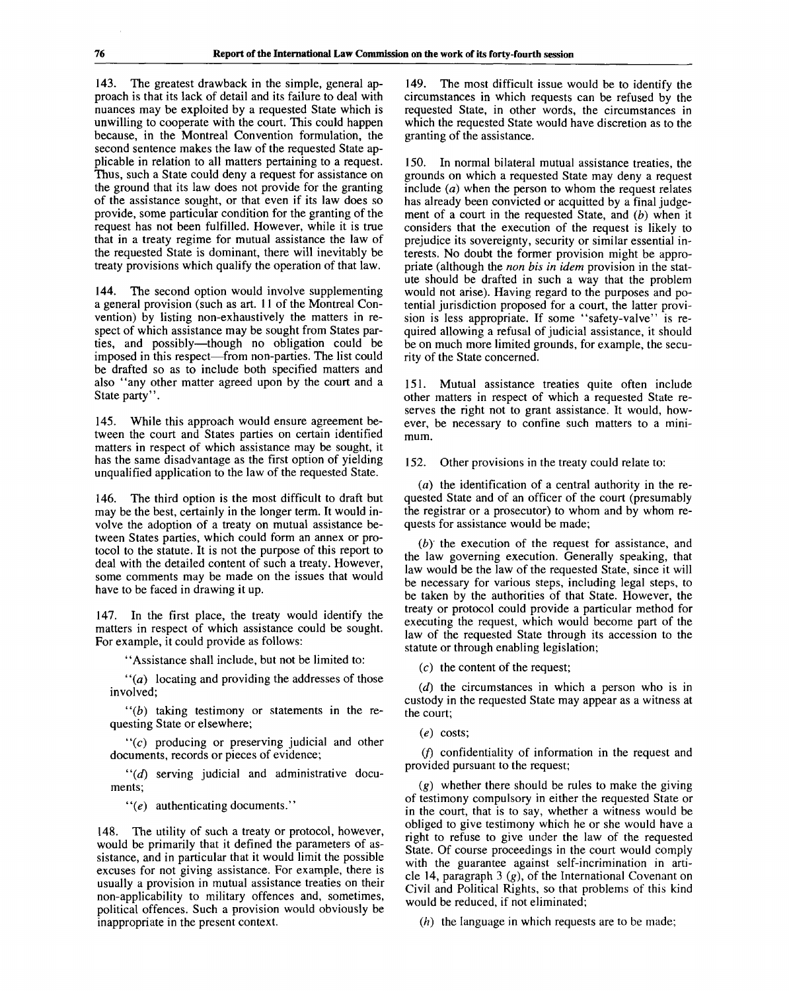143. The greatest drawback in the simple, general approach is that its lack of detail and its failure to deal with nuances may be exploited by a requested State which is unwilling to cooperate with the court. This could happen because, in the Montreal Convention formulation, the second sentence makes the law of the requested State applicable in relation to all matters pertaining to a request. Thus, such a State could deny a request for assistance on the ground that its law does not provide for the granting of the assistance sought, or that even if its law does so provide, some particular condition for the granting of the request has not been fulfilled. However, while it is true that in a treaty regime for mutual assistance the law of the requested State is dominant, there will inevitably be treaty provisions which qualify the operation of that law.

144. The second option would involve supplementing a general provision (such as art. 11 of the Montreal Convention) by listing non-exhaustively the matters in respect of which assistance may be sought from States parties, and possibly—though no obligation could be imposed in this respect—from non-parties. The list could be drafted so as to include both specified matters and also "any other matter agreed upon by the court and a State party".

145. While this approach would ensure agreement between the court and States parties on certain identified matters in respect of which assistance may be sought, it has the same disadvantage as the first option of yielding unqualified application to the law of the requested State.

146. The third option is the most difficult to draft but may be the best, certainly in the longer term. It would involve the adoption of a treaty on mutual assistance between States parties, which could form an annex or protocol to the statute. It is not the purpose of this report to deal with the detailed content of such a treaty. However, some comments may be made on the issues that would have to be faced in drawing it up.

147. In the first place, the treaty would identify the matters in respect of which assistance could be sought. For example, it could provide as follows:

"Assistance shall include, but not be limited to:

 $''(a)$  locating and providing the addresses of those involved;

 $''(b)$  taking testimony or statements in the requesting State or elsewhere;

 $f(c)$  producing or preserving judicial and other documents, records or pieces of evidence;

 $''(d)$  serving judicial and administrative documents;

 $" (e)$  authenticating documents."

148. The utility of such a treaty or protocol, however, would be primarily that it defined the parameters of assistance, and in particular that it would limit the possible excuses for not giving assistance. For example, there is usually a provision in mutual assistance treaties on their non-applicability to military offences and, sometimes, political offences. Such a provision would obviously be inappropriate in the present context.

149. The most difficult issue would be to identify the circumstances in which requests can be refused by the requested State, in other words, the circumstances in which the requested State would have discretion as to the granting of the assistance.

150. In normal bilateral mutual assistance treaties, the grounds on which a requested State may deny a request include  $(a)$  when the person to whom the request relates has already been convicted or acquitted by a final judgement of a court in the requested State, and *(b)* when it considers that the execution of the request is likely to prejudice its sovereignty, security or similar essential interests. No doubt the former provision might be appropriate (although the *non bis in idem* provision in the statute should be drafted in such a way that the problem would not arise). Having regard to the purposes and potential jurisdiction proposed for a court, the latter provision is less appropriate. If some "safety-valve" is required allowing a refusal of judicial assistance, it should be on much more limited grounds, for example, the security of the State concerned.

151. Mutual assistance treaties quite often include other matters in respect of which a requested State reserves the right not to grant assistance. It would, however, be necessary to confine such matters to a minimum.

152. Other provisions in the treaty could relate to:

 $(a)$  the identification of a central authority in the requested State and of an officer of the court (presumably the registrar or a prosecutor) to whom and by whom requests for assistance would be made;

*(by* the execution of the request for assistance, and the law governing execution. Generally speaking, that law would be the law of the requested State, since it will be necessary for various steps, including legal steps, to be taken by the authorities of that State. However, the treaty or protocol could provide a particular method for executing the request, which would become part of the law of the requested State through its accession to the statute or through enabling legislation;

 $(c)$  the content of the request;

*(d)* the circumstances in which a person who is in custody in the requested State may appear as a witness at the court;

*(e)* costs;

(/) confidentiality of information in the request and provided pursuant to the request;

*(g)* whether there should be rules to make the giving of testimony compulsory in either the requested State or in the court, that is to say, whether a witness would be obliged to give testimony which he or she would have a right to refuse to give under the law of the requested State. Of course proceedings in the court would comply with the guarantee against self-incrimination in article 14, paragraph 3 *(g),* of the International Covenant on Civil and Political Rights, so that problems of this kind would be reduced, if not eliminated;

*(h)* the language in which requests are to be made;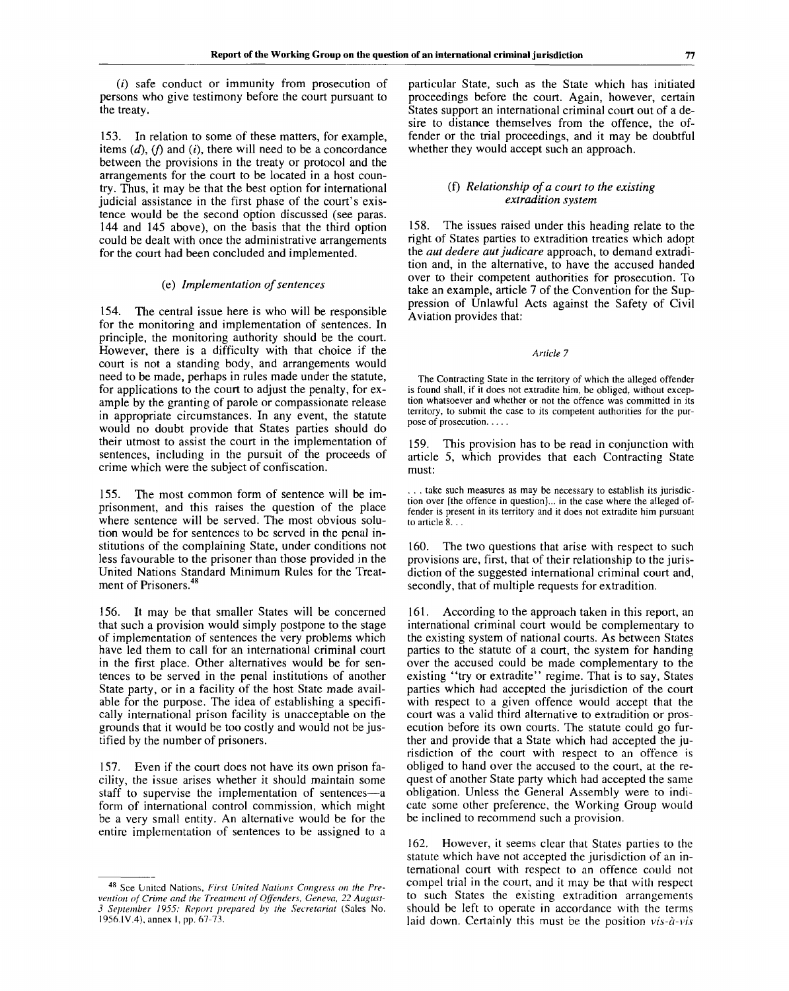$(i)$  safe conduct or immunity from prosecution of persons who give testimony before the court pursuant to the treaty.

153. In relation to some of these matters, for example, items  $(d)$ ,  $(f)$  and  $(i)$ , there will need to be a concordance between the provisions in the treaty or protocol and the arrangements for the court to be located in a host country. Thus, it may be that the best option for international judicial assistance in the first phase of the court's existence would be the second option discussed (see paras. 144 and 145 above), on the basis that the third option could be dealt with once the administrative arrangements for the court had been concluded and implemented.

#### (e) *Implementation of sentences*

154. The central issue here is who will be responsible for the monitoring and implementation of sentences. In principle, the monitoring authority should be the court. However, there is a difficulty with that choice if the court is not a standing body, and arrangements would need to be made, perhaps in rules made under the statute, for applications to the court to adjust the penalty, for example by the granting of parole or compassionate release in appropriate circumstances. In any event, the statute would no doubt provide that States parties should do their utmost to assist the court in the implementation of sentences, including in the pursuit of the proceeds of crime which were the subject of confiscation.

155. The most common form of sentence will be imprisonment, and this raises the question of the place where sentence will be served. The most obvious solution would be for sentences to be served in the penal institutions of the complaining State, under conditions not less favourable to the prisoner than those provided in the United Nations Standard Minimum Rules for the Treatment of Prisoners.<sup>48</sup>

156. It may be that smaller States will be concerned that such a provision would simply postpone to the stage of implementation of sentences the very problems which have led them to call for an international criminal court in the first place. Other alternatives would be for sentences to be served in the penal institutions of another State party, or in a facility of the host State made available for the purpose. The idea of establishing a specifically international prison facility is unacceptable on the grounds that it would be too costly and would not be justified by the number of prisoners.

157. Even if the court does not have its own prison facility, the issue arises whether it should maintain some staff to supervise the implementation of sentences—a form of international control commission, which might be a very small entity. An alternative would be for the entire implementation of sentences to be assigned to a particular State, such as the State which has initiated proceedings before the court. Again, however, certain States support an international criminal court out of a desire to distance themselves from the offence, the offender or the trial proceedings, and it may be doubtful whether they would accept such an approach.

#### (f) *Relationship of a court to the existing extradition system*

158. The issues raised under this heading relate to the right of States parties to extradition treaties which adopt the *aut dedere aut judicare* approach, to demand extradition and, in the alternative, to have the accused handed over to their competent authorities for prosecution. To take an example, article 7 of the Convention for the Suppression of Unlawful Acts against the Safety of Civil Aviation provides that:

#### *Article* 7

The Contracting State in the territory of which the alleged offender is found shall, if it does not extradite him, be obliged, without exception whatsoever and whether or not the offence was committed in its territory, to submit the case to its competent authorities for the purpose of prosecution

159. This provision has to be read in conjunction with article 5, which provides that each Contracting State must:

. . . take such measures as may be necessary to establish its jurisdiction over [the offence in question]... in the case where the alleged offender is present in its territory and it does not extradite him pursuant to article 8. . .

160. The two questions that arise with respect to such provisions are, first, that of their relationship to the jurisdiction of the suggested international criminal court and, secondly, that of multiple requests for extradition.

161. According to the approach taken in this report, an international criminal court would be complementary to the existing system of national courts. As between States parties to the statute of a court, the system for handing over the accused could be made complementary to the existing "try or extradite" regime. That is to say, States parties which had accepted the jurisdiction of the court with respect to a given offence would accept that the court was a valid third alternative to extradition or prosecution before its own courts. The statute could go further and provide that a State which had accepted the jurisdiction of the court with respect to an offence is obliged to hand over the accused to the court, at the request of another State party which had accepted the same obligation. Unless the General Assembly were to indicate some other preference, the Working Group would be inclined to recommend such a provision.

162. However, it seems clear that States parties to the statute which have not accepted the jurisdiction of an international court with respect to an offence could not compel trial in the court, and it may be that with respect to such States the existing extradition arrangements should be left to operate in accordance with the terms laid down. Certainly this must be the position *vis-a-vis*

<sup>48</sup> See Lrnited Nations, *First United Nations Congress on the Prevention of Crime and the Treatment of Offenders, Geneva, 22 August-3 September 1955: Report prepared by the Secretariat* (Sales No. 1956.IV.4), annex I, pp. 67-73.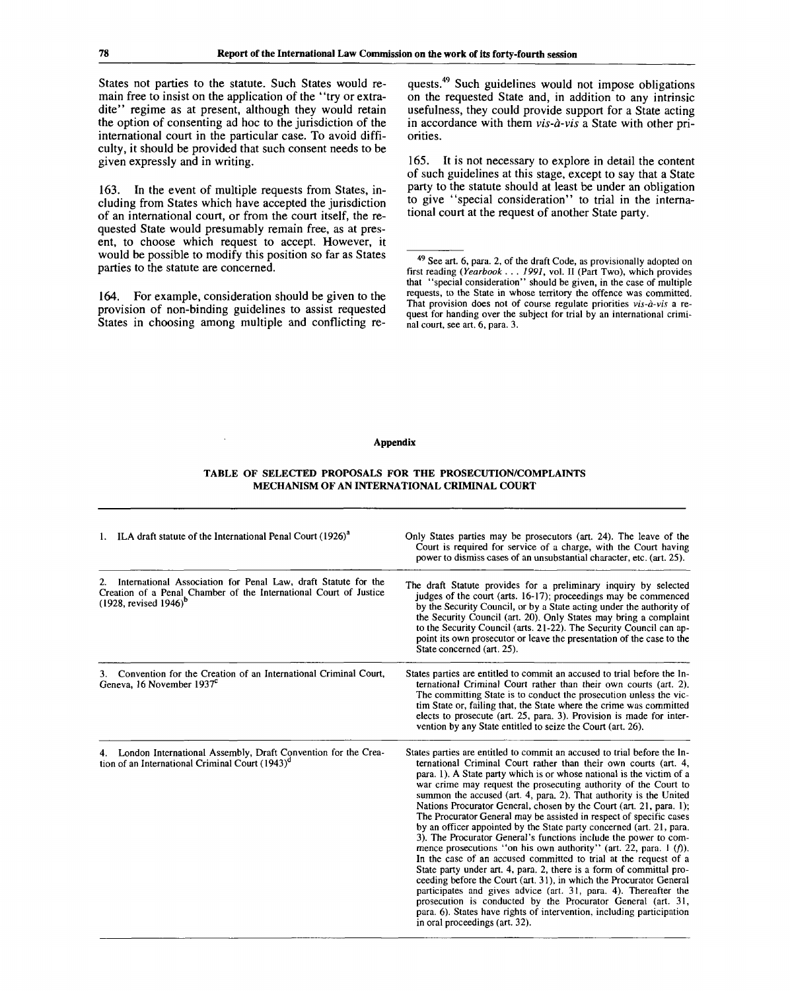States not parties to the statute. Such States would remain free to insist on the application of the "try or extradite" regime as at present, although they would retain the option of consenting ad hoc to the jurisdiction of the international court in the particular case. To avoid difficulty, it should be provided that such consent needs to be given expressly and in writing.

163. In the event of multiple requests from States, including from States which have accepted the jurisdiction of an international court, or from the court itself, the requested State would presumably remain free, as at present, to choose which request to accept. However, it would be possible to modify this position so far as States parties to the statute are concerned.

164. For example, consideration should be given to the provision of non-binding guidelines to assist requested States in choosing among multiple and conflicting re-

quests.<sup>49</sup> Such guidelines would not impose obligations on the requested State and, in addition to any intrinsic usefulness, they could provide support for a State acting in accordance with them *vis-a-vis* a State with other priorities.

165. It is not necessary to explore in detail the content of such guidelines at this stage, except to say that a State party to the statute should at least be under an obligation to give "special consideration" to trial in the international court at the request of another State party.

#### **Appendix**

### **TABLE OF SELECTED PROPOSALS FOR THE PROSECUTION/COMPLAINTS MECHANISM OF AN INTERNATIONAL CRIMINAL COURT**

| 1. ILA draft statute of the International Penal Court (1926) <sup>a</sup>                                                                                                 | Only States parties may be prosecutors (art. 24). The leave of the<br>Court is required for service of a charge, with the Court having<br>power to dismiss cases of an unsubstantial character, etc. (art. 25).                                                                                                                                                                                                                                                                                                                                                                                                                                                                                                                                                                                                                                                                                                                                                                                                                                                                                                                                                                                 |
|---------------------------------------------------------------------------------------------------------------------------------------------------------------------------|-------------------------------------------------------------------------------------------------------------------------------------------------------------------------------------------------------------------------------------------------------------------------------------------------------------------------------------------------------------------------------------------------------------------------------------------------------------------------------------------------------------------------------------------------------------------------------------------------------------------------------------------------------------------------------------------------------------------------------------------------------------------------------------------------------------------------------------------------------------------------------------------------------------------------------------------------------------------------------------------------------------------------------------------------------------------------------------------------------------------------------------------------------------------------------------------------|
| International Association for Penal Law, draft Statute for the<br>2.<br>Creation of a Penal Chamber of the International Court of Justice<br>$(1928,$ revised $1946)^{b}$ | The draft Statute provides for a preliminary inquiry by selected<br>judges of the court (arts. 16-17); proceedings may be commenced<br>by the Security Council, or by a State acting under the authority of<br>the Security Council (art. 20). Only States may bring a complaint<br>to the Security Council (arts. 21-22). The Security Council can ap-<br>point its own prosecutor or leave the presentation of the case to the<br>State concerned (art. 25).                                                                                                                                                                                                                                                                                                                                                                                                                                                                                                                                                                                                                                                                                                                                  |
| 3. Convention for the Creation of an International Criminal Court,<br>Geneva, 16 November 1937 <sup>c</sup>                                                               | States parties are entitled to commit an accused to trial before the ln-<br>ternational Criminal Court rather than their own courts (art. 2).<br>The committing State is to conduct the prosecution unless the vic-<br>tim State or, failing that, the State where the crime was committed<br>elects to prosecute (art. 25, para. 3). Provision is made for inter-<br>vention by any State entitled to seize the Court (art. 26).                                                                                                                                                                                                                                                                                                                                                                                                                                                                                                                                                                                                                                                                                                                                                               |
| 4. London International Assembly, Draft Convention for the Crea-<br>tion of an International Criminal Court (1943) <sup>a</sup>                                           | States parties are entitled to commit an accused to trial before the ln-<br>ternational Criminal Court rather than their own courts (art. 4,<br>para. 1). A State party which is or whose national is the victim of a<br>war crime may request the prosecuting authority of the Court to<br>summon the accused (art. 4, para, 2). That authority is the United<br>Nations Procurator General, chosen by the Court (art. 21, para. 1);<br>The Procurator General may be assisted in respect of specific cases<br>by an officer appointed by the State party concerned (art. 21, para.<br>3). The Procurator General's functions include the power to com-<br>mence prosecutions "on his own authority" (art. 22, para. 1 (f)).<br>In the case of an accused committed to trial at the request of a<br>State party under art. 4, para. 2, there is a form of committal pro-<br>ceeding before the Court (art. 31), in which the Procurator General<br>participates and gives advice (art. 31, para, 4). Thereafter the<br>prosecution is conducted by the Procurator General (art. 31,<br>para. 6). States have rights of intervention, including participation<br>in oral proceedings (art. 32). |

<sup>&</sup>lt;sup>49</sup> See art. 6, para. 2, of the draft Code, as provisionally adopted on first reading *(Yearbook . . . 1991,* vol. II (Part Two), which provides that "special consideration" should be given, in the case of multiple requests, to the State in whose territory the offence was committed. That provision does not of course regulate priorities *vis-a-vis* a request for handing over the subject for trial by an international criminal court, see art. 6, para. 3.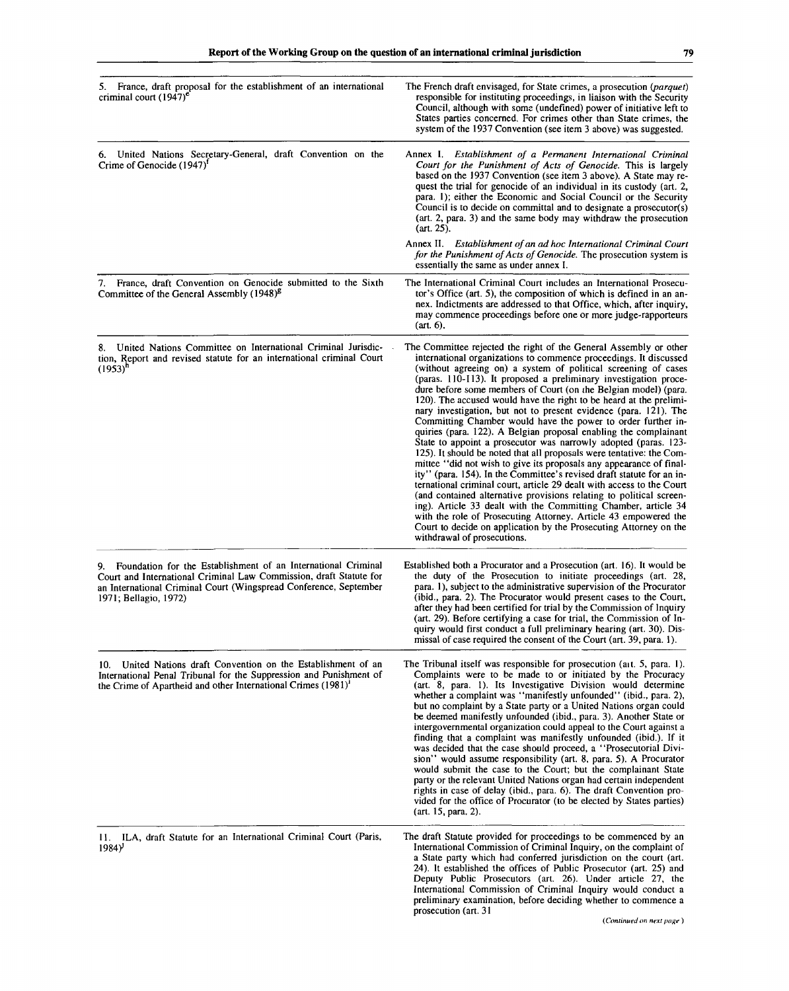| 5. France, draft proposal for the establishment of an international<br>criminal court $(1947)^e$                                                                                                                                     | The French draft envisaged, for State crimes, a prosecution (parquet)<br>responsible for instituting proceedings, in liaison with the Security<br>Council, although with some (undefined) power of initiative left to<br>States parties concerned. For crimes other than State crimes, the<br>system of the 1937 Convention (see item 3 above) was suggested.                                                                                                                                                                                                                                                                                                                                                                                                                                                                                                                                                                                                                                                                                                                                                                                                                                                                                                                                                     |
|--------------------------------------------------------------------------------------------------------------------------------------------------------------------------------------------------------------------------------------|-------------------------------------------------------------------------------------------------------------------------------------------------------------------------------------------------------------------------------------------------------------------------------------------------------------------------------------------------------------------------------------------------------------------------------------------------------------------------------------------------------------------------------------------------------------------------------------------------------------------------------------------------------------------------------------------------------------------------------------------------------------------------------------------------------------------------------------------------------------------------------------------------------------------------------------------------------------------------------------------------------------------------------------------------------------------------------------------------------------------------------------------------------------------------------------------------------------------------------------------------------------------------------------------------------------------|
| United Nations Secretary-General, draft Convention on the<br>6.<br>Crime of Genocide $(1947)^T$                                                                                                                                      | Annex I. Establishment of a Permanent International Criminal<br>Court for the Punishment of Acts of Genocide. This is largely<br>based on the 1937 Convention (see item 3 above). A State may re-<br>quest the trial for genocide of an individual in its custody (art. 2,<br>para. 1); either the Economic and Social Council or the Security<br>Council is to decide on committal and to designate a prosecutor(s)<br>(art. 2, para. 3) and the same body may withdraw the prosecution<br>(art. 25).                                                                                                                                                                                                                                                                                                                                                                                                                                                                                                                                                                                                                                                                                                                                                                                                            |
|                                                                                                                                                                                                                                      | Annex II. Establishment of an ad hoc International Criminal Court<br>for the Punishment of Acts of Genocide. The prosecution system is<br>essentially the same as under annex I.                                                                                                                                                                                                                                                                                                                                                                                                                                                                                                                                                                                                                                                                                                                                                                                                                                                                                                                                                                                                                                                                                                                                  |
| 7. France, draft Convention on Genocide submitted to the Sixth<br>Committee of the General Assembly (1948) <sup>8</sup>                                                                                                              | The International Criminal Court includes an International Prosecu-<br>tor's Office (art. 5), the composition of which is defined in an an-<br>nex. Indictments are addressed to that Office, which, after inquiry,<br>may commence proceedings before one or more judge-rapporteurs<br>$(art. 6)$ ,                                                                                                                                                                                                                                                                                                                                                                                                                                                                                                                                                                                                                                                                                                                                                                                                                                                                                                                                                                                                              |
| United Nations Committee on International Criminal Jurisdic-<br>8.<br>tion, Report and revised statute for an international criminal Court<br>$(1953)^n$                                                                             | The Committee rejected the right of the General Assembly or other<br>international organizations to commence proceedings. It discussed<br>(without agreeing on) a system of political screening of cases<br>(paras. 110-113). It proposed a preliminary investigation proce-<br>dure before some members of Court (on the Belgian model) (para.<br>120). The accused would have the right to be heard at the prelimi-<br>nary investigation, but not to present evidence (para. 121). The<br>Committing Chamber would have the power to order further in-<br>quiries (para. 122). A Belgian proposal enabling the complainant<br>State to appoint a prosecutor was narrowly adopted (paras. 123-<br>125). It should be noted that all proposals were tentative: the Com-<br>mittee "did not wish to give its proposals any appearance of final-<br>ity" (para. 154). In the Committee's revised draft statute for an in-<br>ternational criminal court, article 29 dealt with access to the Court<br>(and contained alternative provisions relating to political screen-<br>ing). Article 33 dealt with the Committing Chamber, article 34<br>with the role of Prosecuting Attorney. Article 43 empowered the<br>Court to decide on application by the Prosecuting Attorney on the<br>withdrawal of prosecutions. |
| 9. Foundation for the Establishment of an International Criminal<br>Court and International Criminal Law Commission, draft Statute for<br>an International Criminal Court (Wingspread Conference, September<br>1971; Bellagio, 1972) | Established both a Procurator and a Prosecution (art. 16). It would be<br>the duty of the Prosecution to initiate proceedings (art. 28,<br>para. 1), subject to the administrative supervision of the Procurator<br>(ibid., para. 2). The Procurator would present cases to the Court,<br>after they had been certified for trial by the Commission of Inquiry<br>(art. 29). Before certifying a case for trial, the Commission of In-<br>quiry would first conduct a full preliminary hearing (art. 30). Dis-<br>missal of case required the consent of the Court (art. 39, para. 1).                                                                                                                                                                                                                                                                                                                                                                                                                                                                                                                                                                                                                                                                                                                            |
| United Nations draft Convention on the Establishment of an<br>10.<br>International Penal Tribunal for the Suppression and Punishment of<br>the Crime of Apartheid and other International Crimes (1981) <sup>1</sup>                 | The Tribunal itself was responsible for prosecution (art. 5, para. 1).<br>Complaints were to be made to or initiated by the Procuracy<br>(art. 8, para. 1). Its Investigative Division would determine<br>whether a complaint was "manifestly unfounded" (ibid., para. 2),<br>but no complaint by a State party or a United Nations organ could<br>be deemed manifestly unfounded (ibid., para. 3). Another State or<br>intergovernmental organization could appeal to the Court against a<br>finding that a complaint was manifestly unfounded (ibid.). If it<br>was decided that the case should proceed, a "Prosecutorial Divi-<br>sion" would assume responsibility (art. 8, para. 5). A Procurator<br>would submit the case to the Court; but the complainant State<br>party or the relevant United Nations organ had certain independent<br>rights in case of delay (ibid., para. 6). The draft Convention pro-<br>vided for the office of Procurator (to be elected by States parties)<br>(art. 15, para. 2).                                                                                                                                                                                                                                                                                              |
| 11. ILA, draft Statute for an International Criminal Court (Paris,<br>$1984$ <sup>y</sup>                                                                                                                                            | The draft Statute provided for proceedings to be commenced by an<br>International Commission of Criminal Inquiry, on the complaint of<br>a State party which had conferred jurisdiction on the court (art.<br>24). It established the offices of Public Prosecutor (art. 25) and<br>Deputy Public Prosecutors (art. 26). Under article 27, the                                                                                                                                                                                                                                                                                                                                                                                                                                                                                                                                                                                                                                                                                                                                                                                                                                                                                                                                                                    |

International Commission of Criminal Inquiry would conduct a preliminary examination, before deciding whether to commence a

.<br>prosecution (art. 31